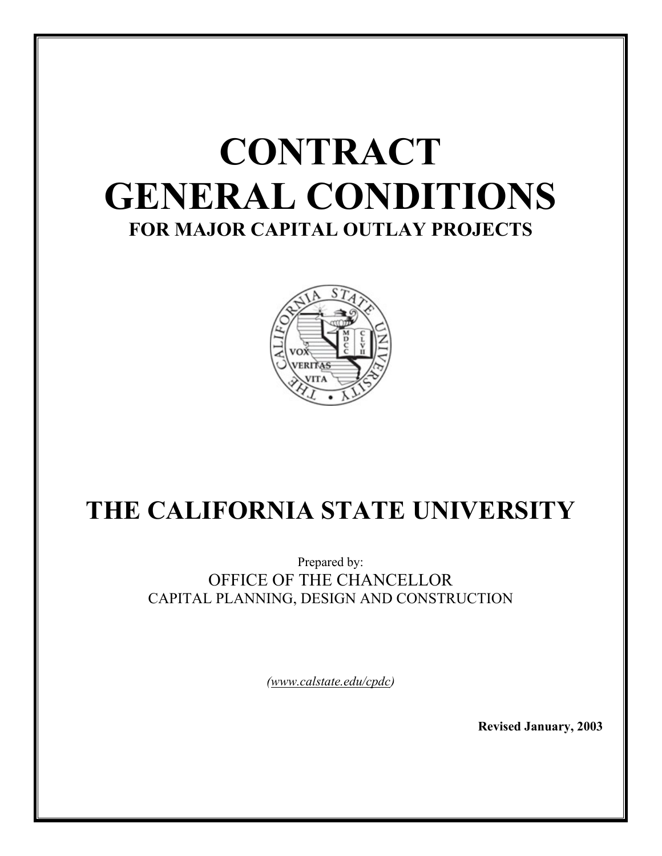

# **THE CALIFORNIA STATE UNIVERSITY**

Prepared by: OFFICE OF THE CHANCELLOR CAPITAL PLANNING, DESIGN AND CONSTRUCTION

*(www.calstate.edu/cpdc)* 

**Revised January, 2003**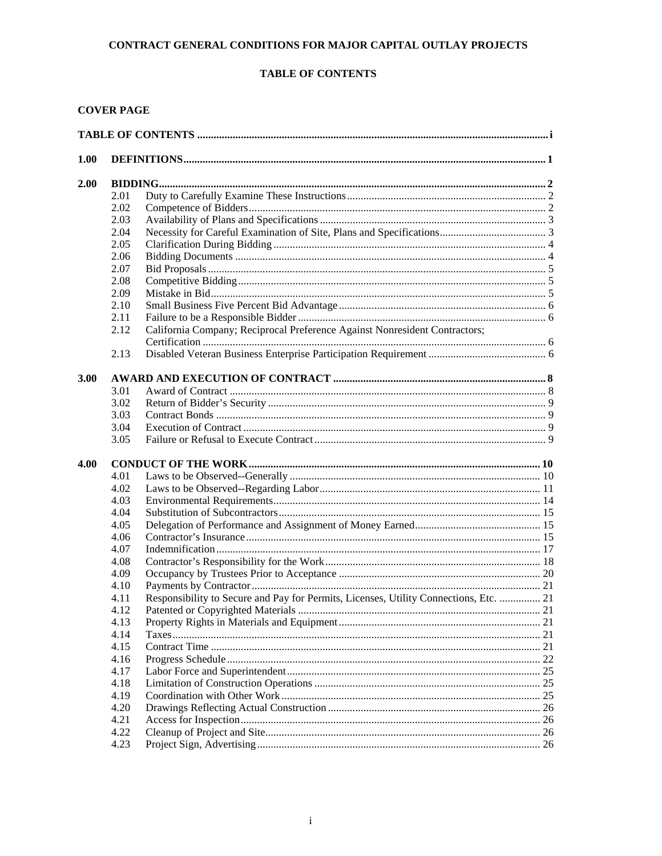# **TABLE OF CONTENTS**

# **COVER PAGE**

| 1.00 |      |                                                                                       |  |  |  |  |
|------|------|---------------------------------------------------------------------------------------|--|--|--|--|
| 2.00 |      |                                                                                       |  |  |  |  |
|      | 2.01 |                                                                                       |  |  |  |  |
|      | 2.02 |                                                                                       |  |  |  |  |
|      | 2.03 |                                                                                       |  |  |  |  |
|      | 2.04 |                                                                                       |  |  |  |  |
|      | 2.05 |                                                                                       |  |  |  |  |
|      | 2.06 |                                                                                       |  |  |  |  |
|      | 2.07 |                                                                                       |  |  |  |  |
|      | 2.08 |                                                                                       |  |  |  |  |
|      | 2.09 |                                                                                       |  |  |  |  |
|      | 2.10 |                                                                                       |  |  |  |  |
|      | 2.11 |                                                                                       |  |  |  |  |
|      | 2.12 | California Company; Reciprocal Preference Against Nonresident Contractors;            |  |  |  |  |
|      |      |                                                                                       |  |  |  |  |
|      | 2.13 |                                                                                       |  |  |  |  |
|      |      |                                                                                       |  |  |  |  |
| 3.00 |      |                                                                                       |  |  |  |  |
|      | 3.01 |                                                                                       |  |  |  |  |
|      | 3.02 |                                                                                       |  |  |  |  |
|      | 3.03 |                                                                                       |  |  |  |  |
|      | 3.04 |                                                                                       |  |  |  |  |
|      | 3.05 |                                                                                       |  |  |  |  |
| 4.00 |      |                                                                                       |  |  |  |  |
|      | 4.01 |                                                                                       |  |  |  |  |
|      | 4.02 |                                                                                       |  |  |  |  |
|      | 4.03 |                                                                                       |  |  |  |  |
|      | 4.04 |                                                                                       |  |  |  |  |
|      | 4.05 |                                                                                       |  |  |  |  |
|      | 4.06 |                                                                                       |  |  |  |  |
|      | 4.07 |                                                                                       |  |  |  |  |
|      | 4.08 |                                                                                       |  |  |  |  |
|      | 4.09 |                                                                                       |  |  |  |  |
|      | 4.10 |                                                                                       |  |  |  |  |
|      | 4.11 | Responsibility to Secure and Pay for Permits, Licenses, Utility Connections, Etc.  21 |  |  |  |  |
|      | 4.12 |                                                                                       |  |  |  |  |
|      | 4.13 |                                                                                       |  |  |  |  |
|      |      |                                                                                       |  |  |  |  |
|      | 4.14 |                                                                                       |  |  |  |  |
|      | 4.15 |                                                                                       |  |  |  |  |
|      | 4.16 |                                                                                       |  |  |  |  |
|      | 4.17 |                                                                                       |  |  |  |  |
|      | 4.18 |                                                                                       |  |  |  |  |
|      | 4.19 |                                                                                       |  |  |  |  |
|      | 4.20 |                                                                                       |  |  |  |  |
|      | 4.21 |                                                                                       |  |  |  |  |
|      | 4.22 |                                                                                       |  |  |  |  |
|      | 4.23 |                                                                                       |  |  |  |  |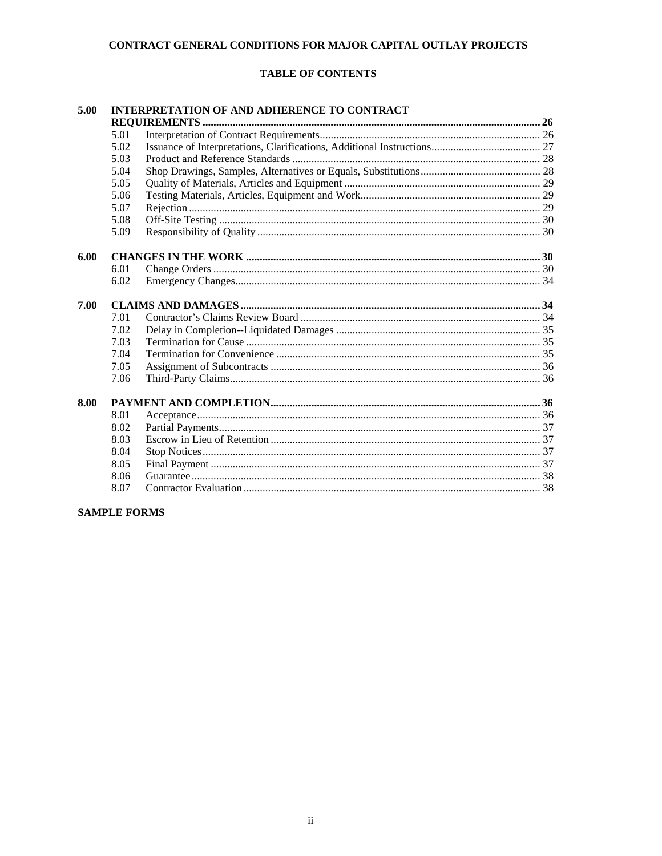# **TABLE OF CONTENTS**

| 5.00 | <b>INTERPRETATION OF AND ADHERENCE TO CONTRACT</b> |  |  |  |
|------|----------------------------------------------------|--|--|--|
|      |                                                    |  |  |  |
|      | 5.01                                               |  |  |  |
|      | 5.02                                               |  |  |  |
|      | 5.03                                               |  |  |  |
|      | 5.04                                               |  |  |  |
|      | 5.05                                               |  |  |  |
|      | 5.06                                               |  |  |  |
|      | 5.07                                               |  |  |  |
|      | 5.08                                               |  |  |  |
|      | 5.09                                               |  |  |  |
| 6.00 |                                                    |  |  |  |
|      | 6.01                                               |  |  |  |
|      | 6.02                                               |  |  |  |
| 7.00 |                                                    |  |  |  |
|      | 7.01                                               |  |  |  |
|      | 7.02                                               |  |  |  |
|      | 7.03                                               |  |  |  |
|      | 7.04                                               |  |  |  |
|      | 7.05                                               |  |  |  |
|      | 7.06                                               |  |  |  |
| 8.00 |                                                    |  |  |  |
|      | 8.01                                               |  |  |  |
|      | 8.02                                               |  |  |  |
|      | 8.03                                               |  |  |  |
|      | 8.04                                               |  |  |  |
|      | 8.05                                               |  |  |  |
|      | 8.06                                               |  |  |  |
|      | 8.07                                               |  |  |  |

# **SAMPLE FORMS**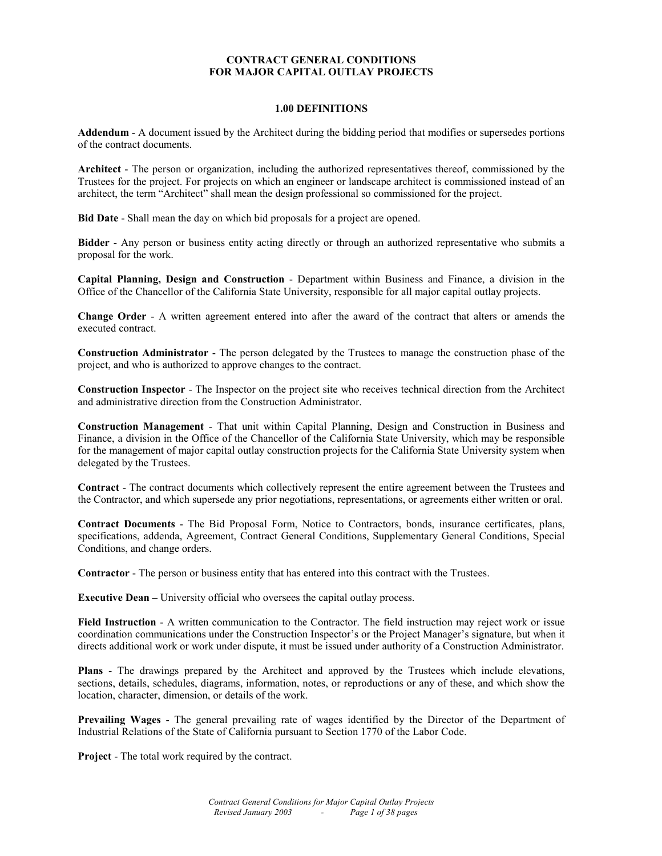#### **1.00 DEFINITIONS**

**Addendum** - A document issued by the Architect during the bidding period that modifies or supersedes portions of the contract documents.

**Architect** - The person or organization, including the authorized representatives thereof, commissioned by the Trustees for the project. For projects on which an engineer or landscape architect is commissioned instead of an architect, the term "Architect" shall mean the design professional so commissioned for the project.

**Bid Date** - Shall mean the day on which bid proposals for a project are opened.

**Bidder** - Any person or business entity acting directly or through an authorized representative who submits a proposal for the work.

**Capital Planning, Design and Construction** - Department within Business and Finance, a division in the Office of the Chancellor of the California State University, responsible for all major capital outlay projects.

**Change Order** - A written agreement entered into after the award of the contract that alters or amends the executed contract.

**Construction Administrator** - The person delegated by the Trustees to manage the construction phase of the project, and who is authorized to approve changes to the contract.

**Construction Inspector** - The Inspector on the project site who receives technical direction from the Architect and administrative direction from the Construction Administrator.

**Construction Management** - That unit within Capital Planning, Design and Construction in Business and Finance, a division in the Office of the Chancellor of the California State University, which may be responsible for the management of major capital outlay construction projects for the California State University system when delegated by the Trustees.

**Contract** - The contract documents which collectively represent the entire agreement between the Trustees and the Contractor, and which supersede any prior negotiations, representations, or agreements either written or oral.

**Contract Documents** - The Bid Proposal Form, Notice to Contractors, bonds, insurance certificates, plans, specifications, addenda, Agreement, Contract General Conditions, Supplementary General Conditions, Special Conditions, and change orders.

**Contractor** - The person or business entity that has entered into this contract with the Trustees.

**Executive Dean** – University official who oversees the capital outlay process.

**Field Instruction** - A written communication to the Contractor. The field instruction may reject work or issue coordination communications under the Construction Inspector's or the Project Manager's signature, but when it directs additional work or work under dispute, it must be issued under authority of a Construction Administrator.

**Plans** - The drawings prepared by the Architect and approved by the Trustees which include elevations, sections, details, schedules, diagrams, information, notes, or reproductions or any of these, and which show the location, character, dimension, or details of the work.

**Prevailing Wages** - The general prevailing rate of wages identified by the Director of the Department of Industrial Relations of the State of California pursuant to Section 1770 of the Labor Code.

**Project** - The total work required by the contract.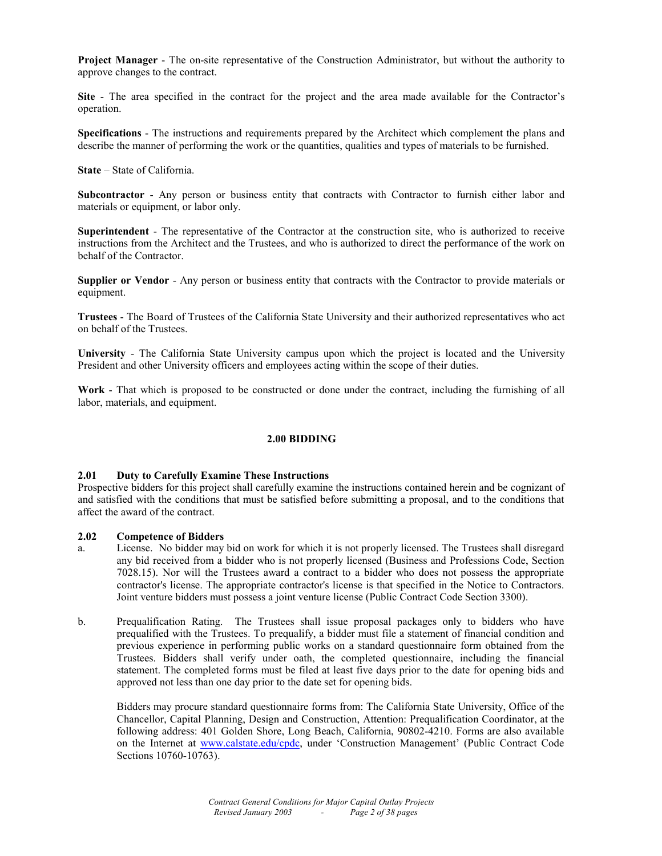**Project Manager** - The on-site representative of the Construction Administrator, but without the authority to approve changes to the contract.

**Site** - The area specified in the contract for the project and the area made available for the Contractor's operation.

**Specifications** - The instructions and requirements prepared by the Architect which complement the plans and describe the manner of performing the work or the quantities, qualities and types of materials to be furnished.

**State** – State of California.

**Subcontractor** - Any person or business entity that contracts with Contractor to furnish either labor and materials or equipment, or labor only.

**Superintendent** - The representative of the Contractor at the construction site, who is authorized to receive instructions from the Architect and the Trustees, and who is authorized to direct the performance of the work on behalf of the Contractor.

**Supplier or Vendor** - Any person or business entity that contracts with the Contractor to provide materials or equipment.

**Trustees** - The Board of Trustees of the California State University and their authorized representatives who act on behalf of the Trustees.

**University** - The California State University campus upon which the project is located and the University President and other University officers and employees acting within the scope of their duties.

**Work** - That which is proposed to be constructed or done under the contract, including the furnishing of all labor, materials, and equipment.

#### **2.00 BIDDING**

#### **2.01 Duty to Carefully Examine These Instructions**

Prospective bidders for this project shall carefully examine the instructions contained herein and be cognizant of and satisfied with the conditions that must be satisfied before submitting a proposal, and to the conditions that affect the award of the contract.

#### **2.02 Competence of Bidders**

- a. License. No bidder may bid on work for which it is not properly licensed. The Trustees shall disregard any bid received from a bidder who is not properly licensed (Business and Professions Code, Section 7028.15). Nor will the Trustees award a contract to a bidder who does not possess the appropriate contractor's license. The appropriate contractor's license is that specified in the Notice to Contractors. Joint venture bidders must possess a joint venture license (Public Contract Code Section 3300).
- b. Prequalification Rating. The Trustees shall issue proposal packages only to bidders who have prequalified with the Trustees. To prequalify, a bidder must file a statement of financial condition and previous experience in performing public works on a standard questionnaire form obtained from the Trustees. Bidders shall verify under oath, the completed questionnaire, including the financial statement. The completed forms must be filed at least five days prior to the date for opening bids and approved not less than one day prior to the date set for opening bids.

 Bidders may procure standard questionnaire forms from: The California State University, Office of the Chancellor, Capital Planning, Design and Construction, Attention: Prequalification Coordinator, at the following address: 401 Golden Shore, Long Beach, California, 90802-4210. Forms are also available on the Internet at www.calstate.edu/cpdc, under 'Construction Management' (Public Contract Code Sections 10760-10763).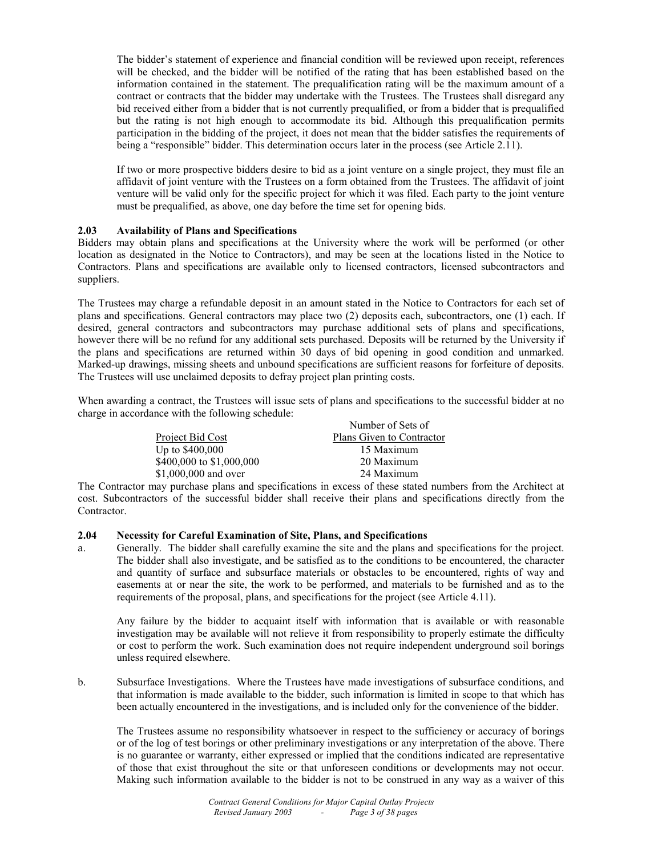The bidder's statement of experience and financial condition will be reviewed upon receipt, references will be checked, and the bidder will be notified of the rating that has been established based on the information contained in the statement. The prequalification rating will be the maximum amount of a contract or contracts that the bidder may undertake with the Trustees. The Trustees shall disregard any bid received either from a bidder that is not currently prequalified, or from a bidder that is prequalified but the rating is not high enough to accommodate its bid. Although this prequalification permits participation in the bidding of the project, it does not mean that the bidder satisfies the requirements of being a "responsible" bidder. This determination occurs later in the process (see Article 2.11).

 If two or more prospective bidders desire to bid as a joint venture on a single project, they must file an affidavit of joint venture with the Trustees on a form obtained from the Trustees. The affidavit of joint venture will be valid only for the specific project for which it was filed. Each party to the joint venture must be prequalified, as above, one day before the time set for opening bids.

# **2.03 Availability of Plans and Specifications**

Bidders may obtain plans and specifications at the University where the work will be performed (or other location as designated in the Notice to Contractors), and may be seen at the locations listed in the Notice to Contractors. Plans and specifications are available only to licensed contractors, licensed subcontractors and suppliers.

The Trustees may charge a refundable deposit in an amount stated in the Notice to Contractors for each set of plans and specifications. General contractors may place two (2) deposits each, subcontractors, one (1) each. If desired, general contractors and subcontractors may purchase additional sets of plans and specifications, however there will be no refund for any additional sets purchased. Deposits will be returned by the University if the plans and specifications are returned within 30 days of bid opening in good condition and unmarked. Marked-up drawings, missing sheets and unbound specifications are sufficient reasons for forfeiture of deposits. The Trustees will use unclaimed deposits to defray project plan printing costs.

When awarding a contract, the Trustees will issue sets of plans and specifications to the successful bidder at no charge in accordance with the following schedule:

|                          | Number of Sets of         |
|--------------------------|---------------------------|
| Project Bid Cost         | Plans Given to Contractor |
| Up to $$400,000$         | 15 Maximum                |
| \$400,000 to \$1,000,000 | 20 Maximum                |
| \$1,000,000 and over     | 24 Maximum                |

The Contractor may purchase plans and specifications in excess of these stated numbers from the Architect at cost. Subcontractors of the successful bidder shall receive their plans and specifications directly from the Contractor.

# **2.04 Necessity for Careful Examination of Site, Plans, and Specifications**

a. Generally. The bidder shall carefully examine the site and the plans and specifications for the project. The bidder shall also investigate, and be satisfied as to the conditions to be encountered, the character and quantity of surface and subsurface materials or obstacles to be encountered, rights of way and easements at or near the site, the work to be performed, and materials to be furnished and as to the requirements of the proposal, plans, and specifications for the project (see Article 4.11).

 Any failure by the bidder to acquaint itself with information that is available or with reasonable investigation may be available will not relieve it from responsibility to properly estimate the difficulty or cost to perform the work. Such examination does not require independent underground soil borings unless required elsewhere.

b. Subsurface Investigations. Where the Trustees have made investigations of subsurface conditions, and that information is made available to the bidder, such information is limited in scope to that which has been actually encountered in the investigations, and is included only for the convenience of the bidder.

 The Trustees assume no responsibility whatsoever in respect to the sufficiency or accuracy of borings or of the log of test borings or other preliminary investigations or any interpretation of the above. There is no guarantee or warranty, either expressed or implied that the conditions indicated are representative of those that exist throughout the site or that unforeseen conditions or developments may not occur. Making such information available to the bidder is not to be construed in any way as a waiver of this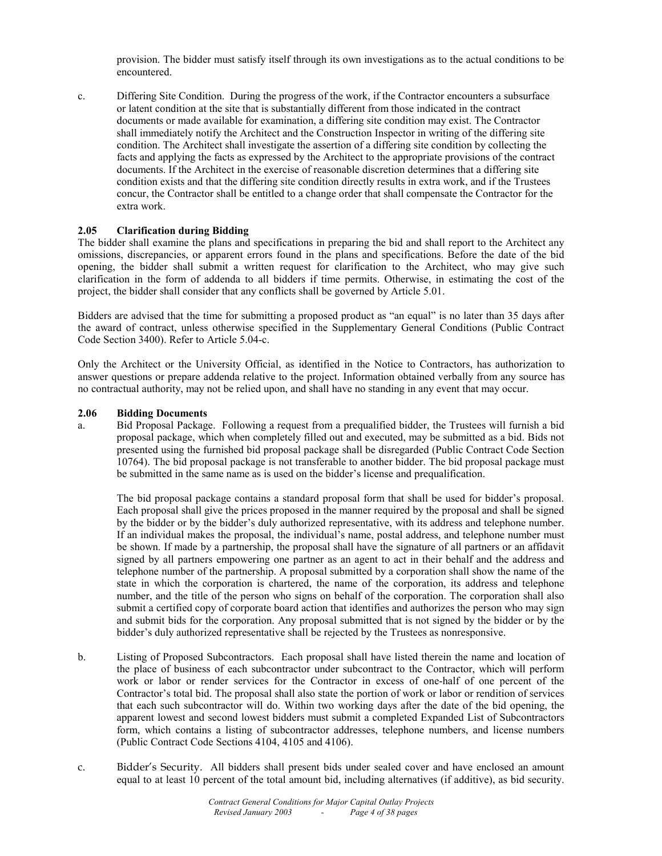provision. The bidder must satisfy itself through its own investigations as to the actual conditions to be encountered.

c. Differing Site Condition. During the progress of the work, if the Contractor encounters a subsurface or latent condition at the site that is substantially different from those indicated in the contract documents or made available for examination, a differing site condition may exist. The Contractor shall immediately notify the Architect and the Construction Inspector in writing of the differing site condition. The Architect shall investigate the assertion of a differing site condition by collecting the facts and applying the facts as expressed by the Architect to the appropriate provisions of the contract documents. If the Architect in the exercise of reasonable discretion determines that a differing site condition exists and that the differing site condition directly results in extra work, and if the Trustees concur, the Contractor shall be entitled to a change order that shall compensate the Contractor for the extra work.

# **2.05 Clarification during Bidding**

The bidder shall examine the plans and specifications in preparing the bid and shall report to the Architect any omissions, discrepancies, or apparent errors found in the plans and specifications. Before the date of the bid opening, the bidder shall submit a written request for clarification to the Architect, who may give such clarification in the form of addenda to all bidders if time permits. Otherwise, in estimating the cost of the project, the bidder shall consider that any conflicts shall be governed by Article 5.01.

Bidders are advised that the time for submitting a proposed product as "an equal" is no later than 35 days after the award of contract, unless otherwise specified in the Supplementary General Conditions (Public Contract Code Section 3400). Refer to Article 5.04-c.

Only the Architect or the University Official, as identified in the Notice to Contractors, has authorization to answer questions or prepare addenda relative to the project. Information obtained verbally from any source has no contractual authority, may not be relied upon, and shall have no standing in any event that may occur.

#### **2.06 Bidding Documents**

a. Bid Proposal Package. Following a request from a prequalified bidder, the Trustees will furnish a bid proposal package, which when completely filled out and executed, may be submitted as a bid. Bids not presented using the furnished bid proposal package shall be disregarded (Public Contract Code Section 10764). The bid proposal package is not transferable to another bidder. The bid proposal package must be submitted in the same name as is used on the bidder's license and prequalification.

 The bid proposal package contains a standard proposal form that shall be used for bidder's proposal. Each proposal shall give the prices proposed in the manner required by the proposal and shall be signed by the bidder or by the bidder's duly authorized representative, with its address and telephone number. If an individual makes the proposal, the individual's name, postal address, and telephone number must be shown. If made by a partnership, the proposal shall have the signature of all partners or an affidavit signed by all partners empowering one partner as an agent to act in their behalf and the address and telephone number of the partnership. A proposal submitted by a corporation shall show the name of the state in which the corporation is chartered, the name of the corporation, its address and telephone number, and the title of the person who signs on behalf of the corporation. The corporation shall also submit a certified copy of corporate board action that identifies and authorizes the person who may sign and submit bids for the corporation. Any proposal submitted that is not signed by the bidder or by the bidder's duly authorized representative shall be rejected by the Trustees as nonresponsive.

- b. Listing of Proposed Subcontractors. Each proposal shall have listed therein the name and location of the place of business of each subcontractor under subcontract to the Contractor, which will perform work or labor or render services for the Contractor in excess of one-half of one percent of the Contractor's total bid. The proposal shall also state the portion of work or labor or rendition of services that each such subcontractor will do. Within two working days after the date of the bid opening, the apparent lowest and second lowest bidders must submit a completed Expanded List of Subcontractors form, which contains a listing of subcontractor addresses, telephone numbers, and license numbers (Public Contract Code Sections 4104, 4105 and 4106).
- c. Bidder's Security. All bidders shall present bids under sealed cover and have enclosed an amount equal to at least 10 percent of the total amount bid, including alternatives (if additive), as bid security.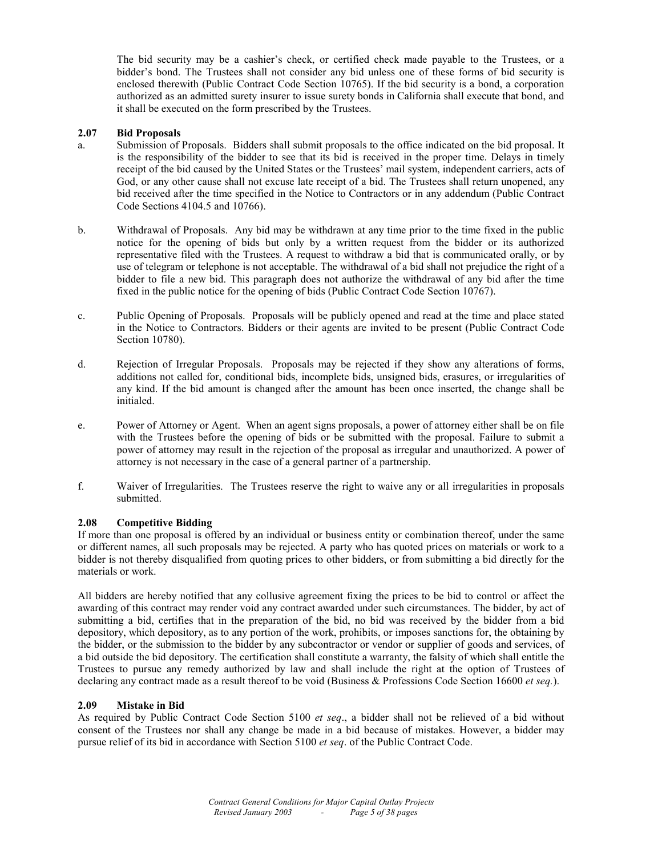The bid security may be a cashier's check, or certified check made payable to the Trustees, or a bidder's bond. The Trustees shall not consider any bid unless one of these forms of bid security is enclosed therewith (Public Contract Code Section 10765). If the bid security is a bond, a corporation authorized as an admitted surety insurer to issue surety bonds in California shall execute that bond, and it shall be executed on the form prescribed by the Trustees.

# **2.07 Bid Proposals**

- a. Submission of Proposals. Bidders shall submit proposals to the office indicated on the bid proposal. It is the responsibility of the bidder to see that its bid is received in the proper time. Delays in timely receipt of the bid caused by the United States or the Trustees' mail system, independent carriers, acts of God, or any other cause shall not excuse late receipt of a bid. The Trustees shall return unopened, any bid received after the time specified in the Notice to Contractors or in any addendum (Public Contract Code Sections 4104.5 and 10766).
- b. Withdrawal of Proposals. Any bid may be withdrawn at any time prior to the time fixed in the public notice for the opening of bids but only by a written request from the bidder or its authorized representative filed with the Trustees. A request to withdraw a bid that is communicated orally, or by use of telegram or telephone is not acceptable. The withdrawal of a bid shall not prejudice the right of a bidder to file a new bid. This paragraph does not authorize the withdrawal of any bid after the time fixed in the public notice for the opening of bids (Public Contract Code Section 10767).
- c. Public Opening of Proposals. Proposals will be publicly opened and read at the time and place stated in the Notice to Contractors. Bidders or their agents are invited to be present (Public Contract Code Section 10780).
- d. Rejection of Irregular Proposals. Proposals may be rejected if they show any alterations of forms, additions not called for, conditional bids, incomplete bids, unsigned bids, erasures, or irregularities of any kind. If the bid amount is changed after the amount has been once inserted, the change shall be initialed.
- e. Power of Attorney or Agent. When an agent signs proposals, a power of attorney either shall be on file with the Trustees before the opening of bids or be submitted with the proposal. Failure to submit a power of attorney may result in the rejection of the proposal as irregular and unauthorized. A power of attorney is not necessary in the case of a general partner of a partnership.
- f. Waiver of Irregularities. The Trustees reserve the right to waive any or all irregularities in proposals submitted.

#### **2.08 Competitive Bidding**

If more than one proposal is offered by an individual or business entity or combination thereof, under the same or different names, all such proposals may be rejected. A party who has quoted prices on materials or work to a bidder is not thereby disqualified from quoting prices to other bidders, or from submitting a bid directly for the materials or work.

All bidders are hereby notified that any collusive agreement fixing the prices to be bid to control or affect the awarding of this contract may render void any contract awarded under such circumstances. The bidder, by act of submitting a bid, certifies that in the preparation of the bid, no bid was received by the bidder from a bid depository, which depository, as to any portion of the work, prohibits, or imposes sanctions for, the obtaining by the bidder, or the submission to the bidder by any subcontractor or vendor or supplier of goods and services, of a bid outside the bid depository. The certification shall constitute a warranty, the falsity of which shall entitle the Trustees to pursue any remedy authorized by law and shall include the right at the option of Trustees of declaring any contract made as a result thereof to be void (Business & Professions Code Section 16600 *et seq.*).

#### **2.09 Mistake in Bid**

As required by Public Contract Code Section 5100 *et seq*., a bidder shall not be relieved of a bid without consent of the Trustees nor shall any change be made in a bid because of mistakes. However, a bidder may pursue relief of its bid in accordance with Section 5100 *et seq*. of the Public Contract Code.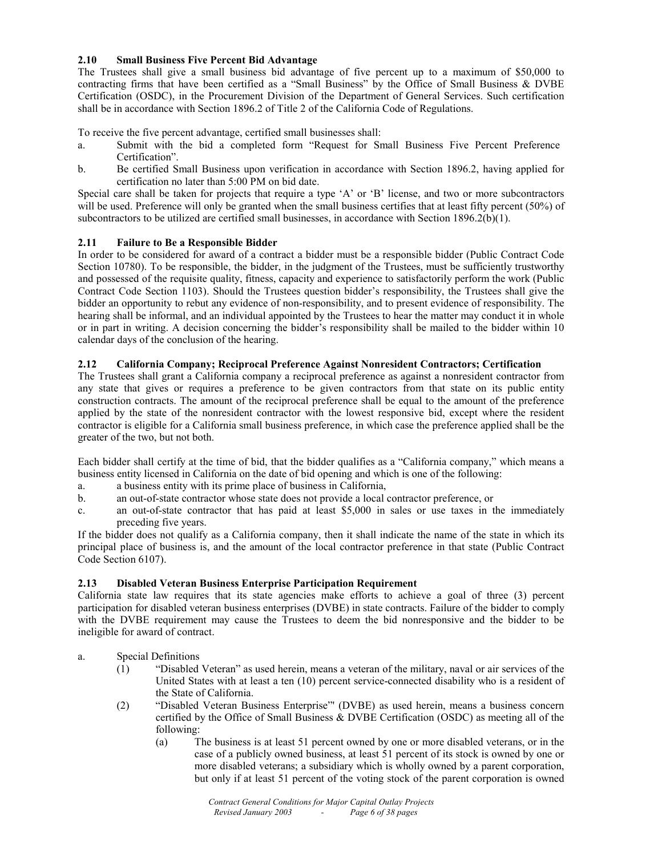# **2.10 Small Business Five Percent Bid Advantage**

The Trustees shall give a small business bid advantage of five percent up to a maximum of \$50,000 to contracting firms that have been certified as a "Small Business" by the Office of Small Business & DVBE Certification (OSDC), in the Procurement Division of the Department of General Services. Such certification shall be in accordance with Section 1896.2 of Title 2 of the California Code of Regulations.

To receive the five percent advantage, certified small businesses shall:

- a. Submit with the bid a completed form "Request for Small Business Five Percent Preference Certification".
- b. Be certified Small Business upon verification in accordance with Section 1896.2, having applied for certification no later than 5:00 PM on bid date.

Special care shall be taken for projects that require a type 'A' or 'B' license, and two or more subcontractors will be used. Preference will only be granted when the small business certifies that at least fifty percent (50%) of subcontractors to be utilized are certified small businesses, in accordance with Section 1896.2(b)(1).

# **2.11 Failure to Be a Responsible Bidder**

In order to be considered for award of a contract a bidder must be a responsible bidder (Public Contract Code Section 10780). To be responsible, the bidder, in the judgment of the Trustees, must be sufficiently trustworthy and possessed of the requisite quality, fitness, capacity and experience to satisfactorily perform the work (Public Contract Code Section 1103). Should the Trustees question bidder's responsibility, the Trustees shall give the bidder an opportunity to rebut any evidence of non-responsibility, and to present evidence of responsibility. The hearing shall be informal, and an individual appointed by the Trustees to hear the matter may conduct it in whole or in part in writing. A decision concerning the bidder's responsibility shall be mailed to the bidder within 10 calendar days of the conclusion of the hearing.

# **2.12 California Company; Reciprocal Preference Against Nonresident Contractors; Certification**

The Trustees shall grant a California company a reciprocal preference as against a nonresident contractor from any state that gives or requires a preference to be given contractors from that state on its public entity construction contracts. The amount of the reciprocal preference shall be equal to the amount of the preference applied by the state of the nonresident contractor with the lowest responsive bid, except where the resident contractor is eligible for a California small business preference, in which case the preference applied shall be the greater of the two, but not both.

Each bidder shall certify at the time of bid, that the bidder qualifies as a "California company," which means a business entity licensed in California on the date of bid opening and which is one of the following:

- a. a business entity with its prime place of business in California,
- b. an out-of-state contractor whose state does not provide a local contractor preference, or
- c. an out-of-state contractor that has paid at least \$5,000 in sales or use taxes in the immediately preceding five years.

If the bidder does not qualify as a California company, then it shall indicate the name of the state in which its principal place of business is, and the amount of the local contractor preference in that state (Public Contract Code Section 6107).

# **2.13 Disabled Veteran Business Enterprise Participation Requirement**

California state law requires that its state agencies make efforts to achieve a goal of three (3) percent participation for disabled veteran business enterprises (DVBE) in state contracts. Failure of the bidder to comply with the DVBE requirement may cause the Trustees to deem the bid nonresponsive and the bidder to be ineligible for award of contract.

- a. Special Definitions
	- (1) "Disabled Veteran" as used herein, means a veteran of the military, naval or air services of the United States with at least a ten (10) percent service-connected disability who is a resident of the State of California.
	- (2) "Disabled Veteran Business Enterprise"' (DVBE) as used herein, means a business concern certified by the Office of Small Business & DVBE Certification (OSDC) as meeting all of the following:
		- (a) The business is at least 51 percent owned by one or more disabled veterans, or in the case of a publicly owned business, at least 51 percent of its stock is owned by one or more disabled veterans; a subsidiary which is wholly owned by a parent corporation, but only if at least 51 percent of the voting stock of the parent corporation is owned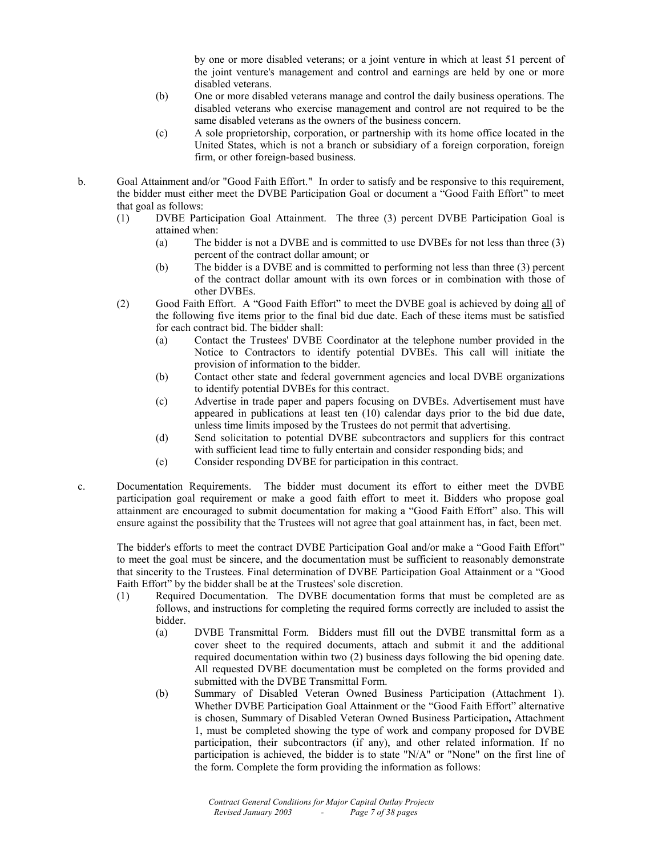by one or more disabled veterans; or a joint venture in which at least 51 percent of the joint venture's management and control and earnings are held by one or more disabled veterans.

- (b) One or more disabled veterans manage and control the daily business operations. The disabled veterans who exercise management and control are not required to be the same disabled veterans as the owners of the business concern.
- (c) A sole proprietorship, corporation, or partnership with its home office located in the United States, which is not a branch or subsidiary of a foreign corporation, foreign firm, or other foreign-based business.
- b. Goal Attainment and/or "Good Faith Effort." In order to satisfy and be responsive to this requirement, the bidder must either meet the DVBE Participation Goal or document a "Good Faith Effort" to meet that goal as follows:
	- (1) DVBE Participation Goal Attainment. The three (3) percent DVBE Participation Goal is attained when:
		- (a) The bidder is not a DVBE and is committed to use DVBEs for not less than three (3) percent of the contract dollar amount; or
		- (b) The bidder is a DVBE and is committed to performing not less than three (3) percent of the contract dollar amount with its own forces or in combination with those of other DVBEs.
	- (2) Good Faith Effort. A "Good Faith Effort" to meet the DVBE goal is achieved by doing all of the following five items prior to the final bid due date. Each of these items must be satisfied for each contract bid. The bidder shall:
		- (a) Contact the Trustees' DVBE Coordinator at the telephone number provided in the Notice to Contractors to identify potential DVBEs. This call will initiate the provision of information to the bidder.
		- (b) Contact other state and federal government agencies and local DVBE organizations to identify potential DVBEs for this contract.
		- (c) Advertise in trade paper and papers focusing on DVBEs. Advertisement must have appeared in publications at least ten (10) calendar days prior to the bid due date, unless time limits imposed by the Trustees do not permit that advertising.
		- (d) Send solicitation to potential DVBE subcontractors and suppliers for this contract with sufficient lead time to fully entertain and consider responding bids; and
		- (e) Consider responding DVBE for participation in this contract.
- c. Documentation Requirements. The bidder must document its effort to either meet the DVBE participation goal requirement or make a good faith effort to meet it. Bidders who propose goal attainment are encouraged to submit documentation for making a "Good Faith Effort" also. This will ensure against the possibility that the Trustees will not agree that goal attainment has, in fact, been met.

The bidder's efforts to meet the contract DVBE Participation Goal and/or make a "Good Faith Effort" to meet the goal must be sincere, and the documentation must be sufficient to reasonably demonstrate that sincerity to the Trustees. Final determination of DVBE Participation Goal Attainment or a "Good Faith Effort" by the bidder shall be at the Trustees' sole discretion.

- (1) Required Documentation. The DVBE documentation forms that must be completed are as follows, and instructions for completing the required forms correctly are included to assist the bidder.
	- (a) DVBE Transmittal Form. Bidders must fill out the DVBE transmittal form as a cover sheet to the required documents, attach and submit it and the additional required documentation within two (2) business days following the bid opening date. All requested DVBE documentation must be completed on the forms provided and submitted with the DVBE Transmittal Form.
	- (b) Summary of Disabled Veteran Owned Business Participation (Attachment 1). Whether DVBE Participation Goal Attainment or the "Good Faith Effort" alternative is chosen, Summary of Disabled Veteran Owned Business Participation**,** Attachment 1, must be completed showing the type of work and company proposed for DVBE participation, their subcontractors (if any), and other related information. If no participation is achieved, the bidder is to state "N/A" or "None" on the first line of the form. Complete the form providing the information as follows: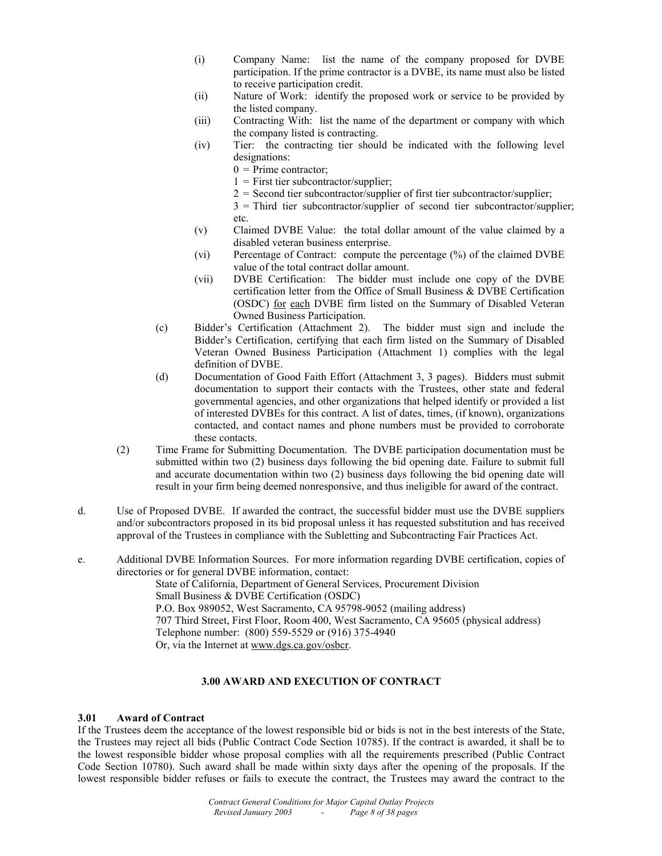- (i) Company Name: list the name of the company proposed for DVBE participation. If the prime contractor is a DVBE, its name must also be listed to receive participation credit.
- (ii) Nature of Work: identify the proposed work or service to be provided by the listed company.
- (iii) Contracting With: list the name of the department or company with which the company listed is contracting.
- (iv) Tier: the contracting tier should be indicated with the following level designations:
	- $0 =$ Prime contractor;
	- $1 =$  First tier subcontractor/supplier;
	- $2 =$  Second tier subcontractor/supplier of first tier subcontractor/supplier;
	- 3 = Third tier subcontractor/supplier of second tier subcontractor/supplier; etc.
- (v) Claimed DVBE Value: the total dollar amount of the value claimed by a disabled veteran business enterprise.
- (vi) Percentage of Contract: compute the percentage (%) of the claimed DVBE value of the total contract dollar amount.
- (vii) DVBE Certification: The bidder must include one copy of the DVBE certification letter from the Office of Small Business & DVBE Certification (OSDC) for each DVBE firm listed on the Summary of Disabled Veteran Owned Business Participation.
- (c) Bidder's Certification (Attachment 2). The bidder must sign and include the Bidder's Certification, certifying that each firm listed on the Summary of Disabled Veteran Owned Business Participation (Attachment 1) complies with the legal definition of DVBE.
- (d) Documentation of Good Faith Effort (Attachment 3, 3 pages). Bidders must submit documentation to support their contacts with the Trustees, other state and federal governmental agencies, and other organizations that helped identify or provided a list of interested DVBEs for this contract. A list of dates, times, (if known), organizations contacted, and contact names and phone numbers must be provided to corroborate these contacts.
- (2) Time Frame for Submitting Documentation. The DVBE participation documentation must be submitted within two (2) business days following the bid opening date. Failure to submit full and accurate documentation within two (2) business days following the bid opening date will result in your firm being deemed nonresponsive, and thus ineligible for award of the contract.
- d. Use of Proposed DVBE. If awarded the contract, the successful bidder must use the DVBE suppliers and/or subcontractors proposed in its bid proposal unless it has requested substitution and has received approval of the Trustees in compliance with the Subletting and Subcontracting Fair Practices Act.
- e. Additional DVBE Information Sources. For more information regarding DVBE certification, copies of directories or for general DVBE information, contact: State of California, Department of General Services, Procurement Division Small Business & DVBE Certification (OSDC) P.O. Box 989052, West Sacramento, CA 95798-9052 (mailing address) 707 Third Street, First Floor, Room 400, West Sacramento, CA 95605 (physical address) Telephone number: (800) 559-5529 or (916) 375-4940 Or, via the Internet at www.dgs.ca.gov/osbcr.

# **3.00 AWARD AND EXECUTION OF CONTRACT**

#### **3.01 Award of Contract**

If the Trustees deem the acceptance of the lowest responsible bid or bids is not in the best interests of the State, the Trustees may reject all bids (Public Contract Code Section 10785). If the contract is awarded, it shall be to the lowest responsible bidder whose proposal complies with all the requirements prescribed (Public Contract Code Section 10780). Such award shall be made within sixty days after the opening of the proposals. If the lowest responsible bidder refuses or fails to execute the contract, the Trustees may award the contract to the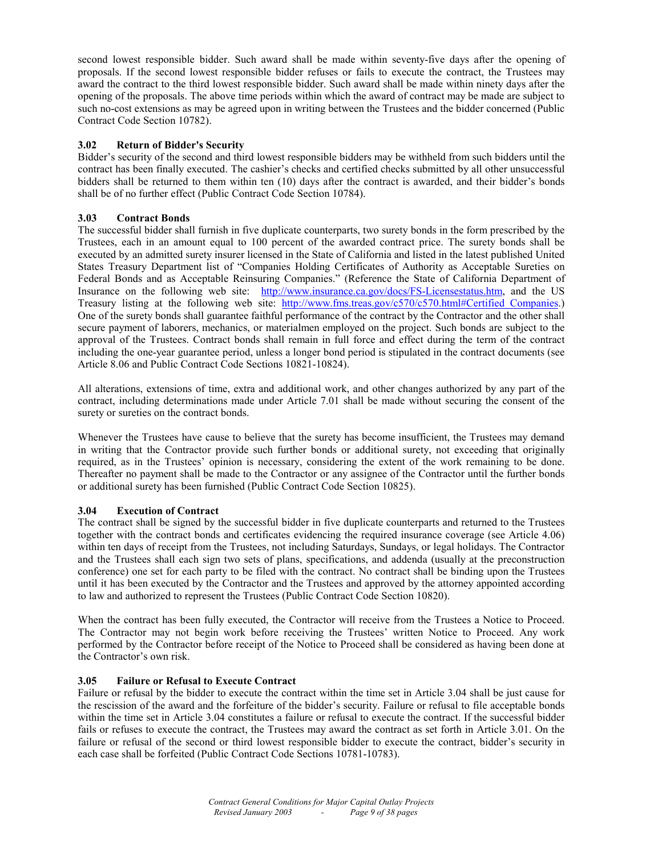second lowest responsible bidder. Such award shall be made within seventy-five days after the opening of proposals. If the second lowest responsible bidder refuses or fails to execute the contract, the Trustees may award the contract to the third lowest responsible bidder. Such award shall be made within ninety days after the opening of the proposals. The above time periods within which the award of contract may be made are subject to such no-cost extensions as may be agreed upon in writing between the Trustees and the bidder concerned (Public Contract Code Section 10782).

# **3.02 Return of Bidder's Security**

Bidder's security of the second and third lowest responsible bidders may be withheld from such bidders until the contract has been finally executed. The cashier's checks and certified checks submitted by all other unsuccessful bidders shall be returned to them within ten (10) days after the contract is awarded, and their bidder's bonds shall be of no further effect (Public Contract Code Section 10784).

# **3.03 Contract Bonds**

The successful bidder shall furnish in five duplicate counterparts, two surety bonds in the form prescribed by the Trustees, each in an amount equal to 100 percent of the awarded contract price. The surety bonds shall be executed by an admitted surety insurer licensed in the State of California and listed in the latest published United States Treasury Department list of "Companies Holding Certificates of Authority as Acceptable Sureties on Federal Bonds and as Acceptable Reinsuring Companies." (Reference the State of California Department of Insurance on the following web site: http://www.insurance.ca.gov/docs/FS-Licensestatus.htm, and the US Treasury listing at the following web site: http://www.fms.treas.gov/c570/c570.html#Certified Companies.) One of the surety bonds shall guarantee faithful performance of the contract by the Contractor and the other shall secure payment of laborers, mechanics, or materialmen employed on the project. Such bonds are subject to the approval of the Trustees. Contract bonds shall remain in full force and effect during the term of the contract including the one-year guarantee period, unless a longer bond period is stipulated in the contract documents (see Article 8.06 and Public Contract Code Sections 10821-10824).

All alterations, extensions of time, extra and additional work, and other changes authorized by any part of the contract, including determinations made under Article 7.01 shall be made without securing the consent of the surety or sureties on the contract bonds.

Whenever the Trustees have cause to believe that the surety has become insufficient, the Trustees may demand in writing that the Contractor provide such further bonds or additional surety, not exceeding that originally required, as in the Trustees' opinion is necessary, considering the extent of the work remaining to be done. Thereafter no payment shall be made to the Contractor or any assignee of the Contractor until the further bonds or additional surety has been furnished (Public Contract Code Section 10825).

# **3.04 Execution of Contract**

The contract shall be signed by the successful bidder in five duplicate counterparts and returned to the Trustees together with the contract bonds and certificates evidencing the required insurance coverage (see Article 4.06) within ten days of receipt from the Trustees, not including Saturdays, Sundays, or legal holidays. The Contractor and the Trustees shall each sign two sets of plans, specifications, and addenda (usually at the preconstruction conference) one set for each party to be filed with the contract. No contract shall be binding upon the Trustees until it has been executed by the Contractor and the Trustees and approved by the attorney appointed according to law and authorized to represent the Trustees (Public Contract Code Section 10820).

When the contract has been fully executed, the Contractor will receive from the Trustees a Notice to Proceed. The Contractor may not begin work before receiving the Trustees' written Notice to Proceed. Any work performed by the Contractor before receipt of the Notice to Proceed shall be considered as having been done at the Contractor's own risk.

#### **3.05 Failure or Refusal to Execute Contract**

Failure or refusal by the bidder to execute the contract within the time set in Article 3.04 shall be just cause for the rescission of the award and the forfeiture of the bidder's security. Failure or refusal to file acceptable bonds within the time set in Article 3.04 constitutes a failure or refusal to execute the contract. If the successful bidder fails or refuses to execute the contract, the Trustees may award the contract as set forth in Article 3.01. On the failure or refusal of the second or third lowest responsible bidder to execute the contract, bidder's security in each case shall be forfeited (Public Contract Code Sections 10781-10783).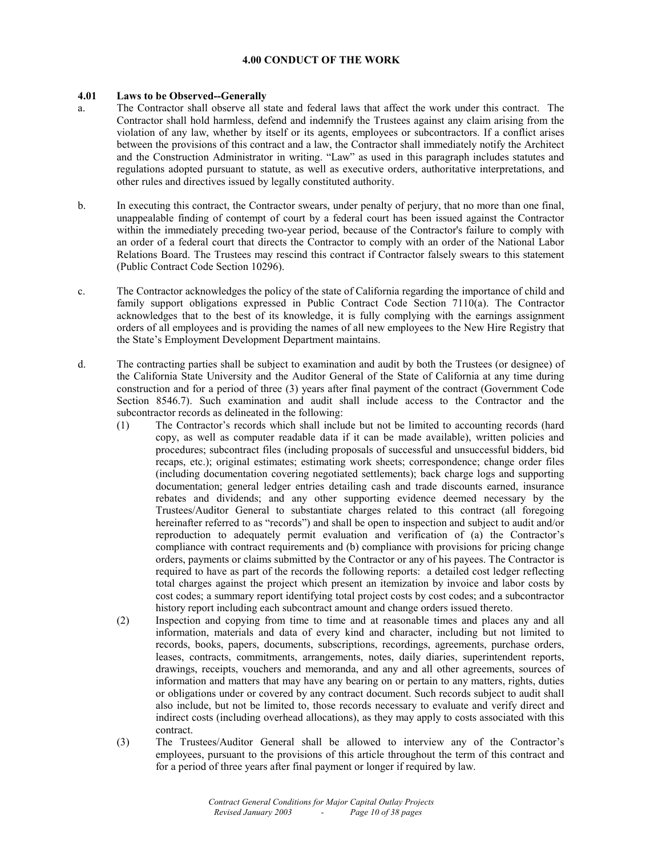# **4.00 CONDUCT OF THE WORK**

# **4.01 Laws to be Observed--Generally**

- a. The Contractor shall observe all state and federal laws that affect the work under this contract. The Contractor shall hold harmless, defend and indemnify the Trustees against any claim arising from the violation of any law, whether by itself or its agents, employees or subcontractors. If a conflict arises between the provisions of this contract and a law, the Contractor shall immediately notify the Architect and the Construction Administrator in writing. "Law" as used in this paragraph includes statutes and regulations adopted pursuant to statute, as well as executive orders, authoritative interpretations, and other rules and directives issued by legally constituted authority.
- b. In executing this contract, the Contractor swears, under penalty of perjury, that no more than one final, unappealable finding of contempt of court by a federal court has been issued against the Contractor within the immediately preceding two-year period, because of the Contractor's failure to comply with an order of a federal court that directs the Contractor to comply with an order of the National Labor Relations Board. The Trustees may rescind this contract if Contractor falsely swears to this statement (Public Contract Code Section 10296).
- c. The Contractor acknowledges the policy of the state of California regarding the importance of child and family support obligations expressed in Public Contract Code Section 7110(a). The Contractor acknowledges that to the best of its knowledge, it is fully complying with the earnings assignment orders of all employees and is providing the names of all new employees to the New Hire Registry that the State's Employment Development Department maintains.
- d. The contracting parties shall be subject to examination and audit by both the Trustees (or designee) of the California State University and the Auditor General of the State of California at any time during construction and for a period of three (3) years after final payment of the contract (Government Code Section 8546.7). Such examination and audit shall include access to the Contractor and the subcontractor records as delineated in the following:
	- (1) The Contractor's records which shall include but not be limited to accounting records (hard copy, as well as computer readable data if it can be made available), written policies and procedures; subcontract files (including proposals of successful and unsuccessful bidders, bid recaps, etc.); original estimates; estimating work sheets; correspondence; change order files (including documentation covering negotiated settlements); back charge logs and supporting documentation; general ledger entries detailing cash and trade discounts earned, insurance rebates and dividends; and any other supporting evidence deemed necessary by the Trustees/Auditor General to substantiate charges related to this contract (all foregoing hereinafter referred to as "records") and shall be open to inspection and subject to audit and/or reproduction to adequately permit evaluation and verification of (a) the Contractor's compliance with contract requirements and (b) compliance with provisions for pricing change orders, payments or claims submitted by the Contractor or any of his payees. The Contractor is required to have as part of the records the following reports: a detailed cost ledger reflecting total charges against the project which present an itemization by invoice and labor costs by cost codes; a summary report identifying total project costs by cost codes; and a subcontractor history report including each subcontract amount and change orders issued thereto.
	- (2) Inspection and copying from time to time and at reasonable times and places any and all information, materials and data of every kind and character, including but not limited to records, books, papers, documents, subscriptions, recordings, agreements, purchase orders, leases, contracts, commitments, arrangements, notes, daily diaries, superintendent reports, drawings, receipts, vouchers and memoranda, and any and all other agreements, sources of information and matters that may have any bearing on or pertain to any matters, rights, duties or obligations under or covered by any contract document. Such records subject to audit shall also include, but not be limited to, those records necessary to evaluate and verify direct and indirect costs (including overhead allocations), as they may apply to costs associated with this contract.
	- (3) The Trustees/Auditor General shall be allowed to interview any of the Contractor's employees, pursuant to the provisions of this article throughout the term of this contract and for a period of three years after final payment or longer if required by law.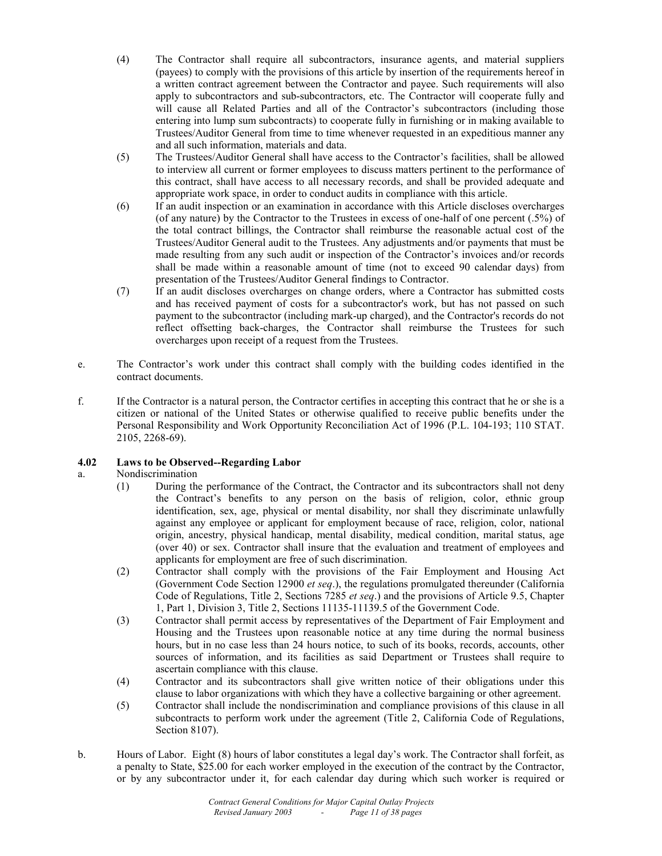- (4) The Contractor shall require all subcontractors, insurance agents, and material suppliers (payees) to comply with the provisions of this article by insertion of the requirements hereof in a written contract agreement between the Contractor and payee. Such requirements will also apply to subcontractors and sub-subcontractors, etc. The Contractor will cooperate fully and will cause all Related Parties and all of the Contractor's subcontractors (including those entering into lump sum subcontracts) to cooperate fully in furnishing or in making available to Trustees/Auditor General from time to time whenever requested in an expeditious manner any and all such information, materials and data.
- (5) The Trustees/Auditor General shall have access to the Contractor's facilities, shall be allowed to interview all current or former employees to discuss matters pertinent to the performance of this contract, shall have access to all necessary records, and shall be provided adequate and appropriate work space, in order to conduct audits in compliance with this article.
- (6) If an audit inspection or an examination in accordance with this Article discloses overcharges (of any nature) by the Contractor to the Trustees in excess of one-half of one percent (.5%) of the total contract billings, the Contractor shall reimburse the reasonable actual cost of the Trustees/Auditor General audit to the Trustees. Any adjustments and/or payments that must be made resulting from any such audit or inspection of the Contractor's invoices and/or records shall be made within a reasonable amount of time (not to exceed 90 calendar days) from presentation of the Trustees/Auditor General findings to Contractor.
- (7) If an audit discloses overcharges on change orders, where a Contractor has submitted costs and has received payment of costs for a subcontractor's work, but has not passed on such payment to the subcontractor (including mark-up charged), and the Contractor's records do not reflect offsetting back-charges, the Contractor shall reimburse the Trustees for such overcharges upon receipt of a request from the Trustees.
- e. The Contractor's work under this contract shall comply with the building codes identified in the contract documents.
- f. If the Contractor is a natural person, the Contractor certifies in accepting this contract that he or she is a citizen or national of the United States or otherwise qualified to receive public benefits under the Personal Responsibility and Work Opportunity Reconciliation Act of 1996 (P.L. 104-193; 110 STAT. 2105, 2268-69).

# **4.02 Laws to be Observed--Regarding Labor**

# a. Nondiscrimination

- (1) During the performance of the Contract, the Contractor and its subcontractors shall not deny the Contract's benefits to any person on the basis of religion, color, ethnic group identification, sex, age, physical or mental disability, nor shall they discriminate unlawfully against any employee or applicant for employment because of race, religion, color, national origin, ancestry, physical handicap, mental disability, medical condition, marital status, age (over 40) or sex. Contractor shall insure that the evaluation and treatment of employees and applicants for employment are free of such discrimination.
- (2) Contractor shall comply with the provisions of the Fair Employment and Housing Act (Government Code Section 12900 *et seq*.), the regulations promulgated thereunder (California Code of Regulations, Title 2, Sections 7285 *et seq*.) and the provisions of Article 9.5, Chapter 1, Part 1, Division 3, Title 2, Sections 11135-11139.5 of the Government Code.
- (3) Contractor shall permit access by representatives of the Department of Fair Employment and Housing and the Trustees upon reasonable notice at any time during the normal business hours, but in no case less than 24 hours notice, to such of its books, records, accounts, other sources of information, and its facilities as said Department or Trustees shall require to ascertain compliance with this clause.
- (4) Contractor and its subcontractors shall give written notice of their obligations under this clause to labor organizations with which they have a collective bargaining or other agreement.
- (5) Contractor shall include the nondiscrimination and compliance provisions of this clause in all subcontracts to perform work under the agreement (Title 2, California Code of Regulations, Section 8107).
- b. Hours of Labor. Eight (8) hours of labor constitutes a legal day's work. The Contractor shall forfeit, as a penalty to State, \$25.00 for each worker employed in the execution of the contract by the Contractor, or by any subcontractor under it, for each calendar day during which such worker is required or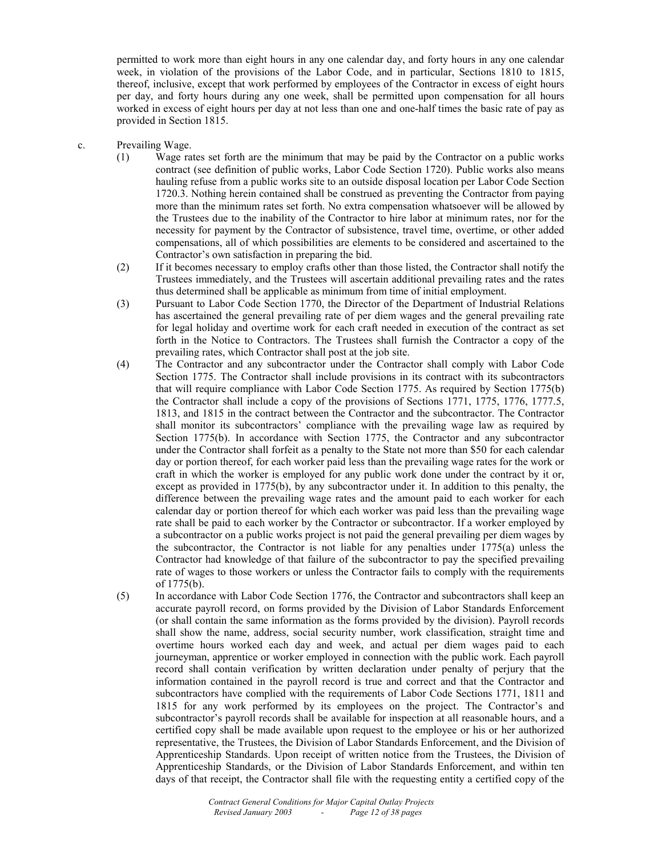permitted to work more than eight hours in any one calendar day, and forty hours in any one calendar week, in violation of the provisions of the Labor Code, and in particular, Sections 1810 to 1815, thereof, inclusive, except that work performed by employees of the Contractor in excess of eight hours per day, and forty hours during any one week, shall be permitted upon compensation for all hours worked in excess of eight hours per day at not less than one and one-half times the basic rate of pay as provided in Section 1815.

- c. Prevailing Wage.
	- (1) Wage rates set forth are the minimum that may be paid by the Contractor on a public works contract (see definition of public works, Labor Code Section 1720). Public works also means hauling refuse from a public works site to an outside disposal location per Labor Code Section 1720.3. Nothing herein contained shall be construed as preventing the Contractor from paying more than the minimum rates set forth. No extra compensation whatsoever will be allowed by the Trustees due to the inability of the Contractor to hire labor at minimum rates, nor for the necessity for payment by the Contractor of subsistence, travel time, overtime, or other added compensations, all of which possibilities are elements to be considered and ascertained to the Contractor's own satisfaction in preparing the bid.
	- (2) If it becomes necessary to employ crafts other than those listed, the Contractor shall notify the Trustees immediately, and the Trustees will ascertain additional prevailing rates and the rates thus determined shall be applicable as minimum from time of initial employment.
	- (3) Pursuant to Labor Code Section 1770, the Director of the Department of Industrial Relations has ascertained the general prevailing rate of per diem wages and the general prevailing rate for legal holiday and overtime work for each craft needed in execution of the contract as set forth in the Notice to Contractors. The Trustees shall furnish the Contractor a copy of the prevailing rates, which Contractor shall post at the job site.
	- (4) The Contractor and any subcontractor under the Contractor shall comply with Labor Code Section 1775. The Contractor shall include provisions in its contract with its subcontractors that will require compliance with Labor Code Section 1775. As required by Section 1775(b) the Contractor shall include a copy of the provisions of Sections 1771, 1775, 1776, 1777.5, 1813, and 1815 in the contract between the Contractor and the subcontractor. The Contractor shall monitor its subcontractors' compliance with the prevailing wage law as required by Section 1775(b). In accordance with Section 1775, the Contractor and any subcontractor under the Contractor shall forfeit as a penalty to the State not more than \$50 for each calendar day or portion thereof, for each worker paid less than the prevailing wage rates for the work or craft in which the worker is employed for any public work done under the contract by it or, except as provided in 1775(b), by any subcontractor under it. In addition to this penalty, the difference between the prevailing wage rates and the amount paid to each worker for each calendar day or portion thereof for which each worker was paid less than the prevailing wage rate shall be paid to each worker by the Contractor or subcontractor. If a worker employed by a subcontractor on a public works project is not paid the general prevailing per diem wages by the subcontractor, the Contractor is not liable for any penalties under  $1775(a)$  unless the Contractor had knowledge of that failure of the subcontractor to pay the specified prevailing rate of wages to those workers or unless the Contractor fails to comply with the requirements of 1775(b).
	- (5) In accordance with Labor Code Section 1776, the Contractor and subcontractors shall keep an accurate payroll record, on forms provided by the Division of Labor Standards Enforcement (or shall contain the same information as the forms provided by the division). Payroll records shall show the name, address, social security number, work classification, straight time and overtime hours worked each day and week, and actual per diem wages paid to each journeyman, apprentice or worker employed in connection with the public work. Each payroll record shall contain verification by written declaration under penalty of perjury that the information contained in the payroll record is true and correct and that the Contractor and subcontractors have complied with the requirements of Labor Code Sections 1771, 1811 and 1815 for any work performed by its employees on the project. The Contractor's and subcontractor's payroll records shall be available for inspection at all reasonable hours, and a certified copy shall be made available upon request to the employee or his or her authorized representative, the Trustees, the Division of Labor Standards Enforcement, and the Division of Apprenticeship Standards. Upon receipt of written notice from the Trustees, the Division of Apprenticeship Standards, or the Division of Labor Standards Enforcement, and within ten days of that receipt, the Contractor shall file with the requesting entity a certified copy of the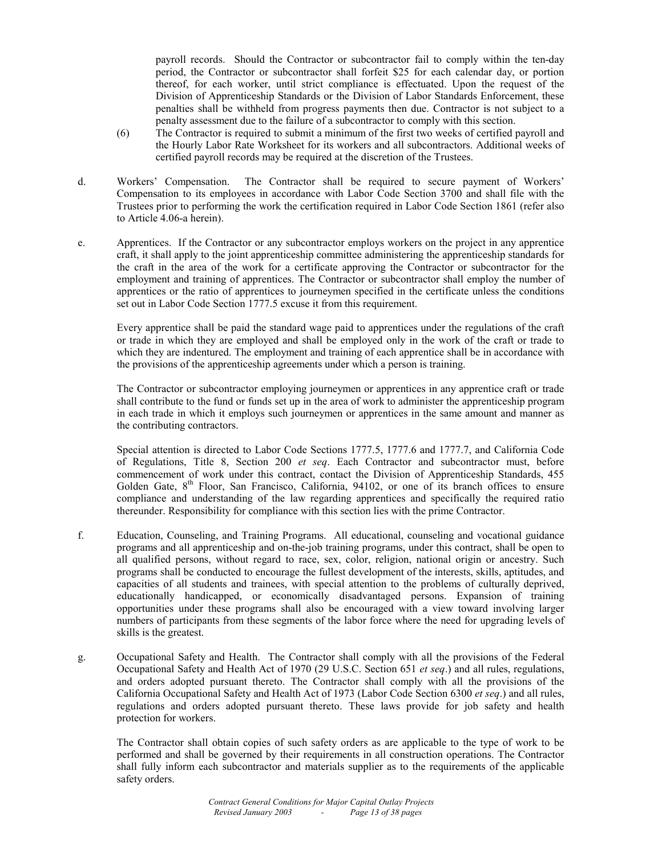payroll records. Should the Contractor or subcontractor fail to comply within the ten-day period, the Contractor or subcontractor shall forfeit \$25 for each calendar day, or portion thereof, for each worker, until strict compliance is effectuated. Upon the request of the Division of Apprenticeship Standards or the Division of Labor Standards Enforcement, these penalties shall be withheld from progress payments then due. Contractor is not subject to a penalty assessment due to the failure of a subcontractor to comply with this section.

- (6) The Contractor is required to submit a minimum of the first two weeks of certified payroll and the Hourly Labor Rate Worksheet for its workers and all subcontractors. Additional weeks of certified payroll records may be required at the discretion of the Trustees.
- d. Workers' Compensation. The Contractor shall be required to secure payment of Workers' Compensation to its employees in accordance with Labor Code Section 3700 and shall file with the Trustees prior to performing the work the certification required in Labor Code Section 1861 (refer also to Article 4.06-a herein).
- e. Apprentices. If the Contractor or any subcontractor employs workers on the project in any apprentice craft, it shall apply to the joint apprenticeship committee administering the apprenticeship standards for the craft in the area of the work for a certificate approving the Contractor or subcontractor for the employment and training of apprentices. The Contractor or subcontractor shall employ the number of apprentices or the ratio of apprentices to journeymen specified in the certificate unless the conditions set out in Labor Code Section 1777.5 excuse it from this requirement.

 Every apprentice shall be paid the standard wage paid to apprentices under the regulations of the craft or trade in which they are employed and shall be employed only in the work of the craft or trade to which they are indentured. The employment and training of each apprentice shall be in accordance with the provisions of the apprenticeship agreements under which a person is training.

 The Contractor or subcontractor employing journeymen or apprentices in any apprentice craft or trade shall contribute to the fund or funds set up in the area of work to administer the apprenticeship program in each trade in which it employs such journeymen or apprentices in the same amount and manner as the contributing contractors.

 Special attention is directed to Labor Code Sections 1777.5, 1777.6 and 1777.7, and California Code of Regulations, Title 8, Section 200 *et seq*. Each Contractor and subcontractor must, before commencement of work under this contract, contact the Division of Apprenticeship Standards, 455 Golden Gate,  $8<sup>th</sup>$  Floor, San Francisco, California, 94102, or one of its branch offices to ensure compliance and understanding of the law regarding apprentices and specifically the required ratio thereunder. Responsibility for compliance with this section lies with the prime Contractor.

- f. Education, Counseling, and Training Programs. All educational, counseling and vocational guidance programs and all apprenticeship and on-the-job training programs, under this contract, shall be open to all qualified persons, without regard to race, sex, color, religion, national origin or ancestry. Such programs shall be conducted to encourage the fullest development of the interests, skills, aptitudes, and capacities of all students and trainees, with special attention to the problems of culturally deprived, educationally handicapped, or economically disadvantaged persons. Expansion of training opportunities under these programs shall also be encouraged with a view toward involving larger numbers of participants from these segments of the labor force where the need for upgrading levels of skills is the greatest.
- g. Occupational Safety and Health. The Contractor shall comply with all the provisions of the Federal Occupational Safety and Health Act of 1970 (29 U.S.C. Section 651 *et seq*.) and all rules, regulations, and orders adopted pursuant thereto. The Contractor shall comply with all the provisions of the California Occupational Safety and Health Act of 1973 (Labor Code Section 6300 *et seq*.) and all rules, regulations and orders adopted pursuant thereto. These laws provide for job safety and health protection for workers.

 The Contractor shall obtain copies of such safety orders as are applicable to the type of work to be performed and shall be governed by their requirements in all construction operations. The Contractor shall fully inform each subcontractor and materials supplier as to the requirements of the applicable safety orders.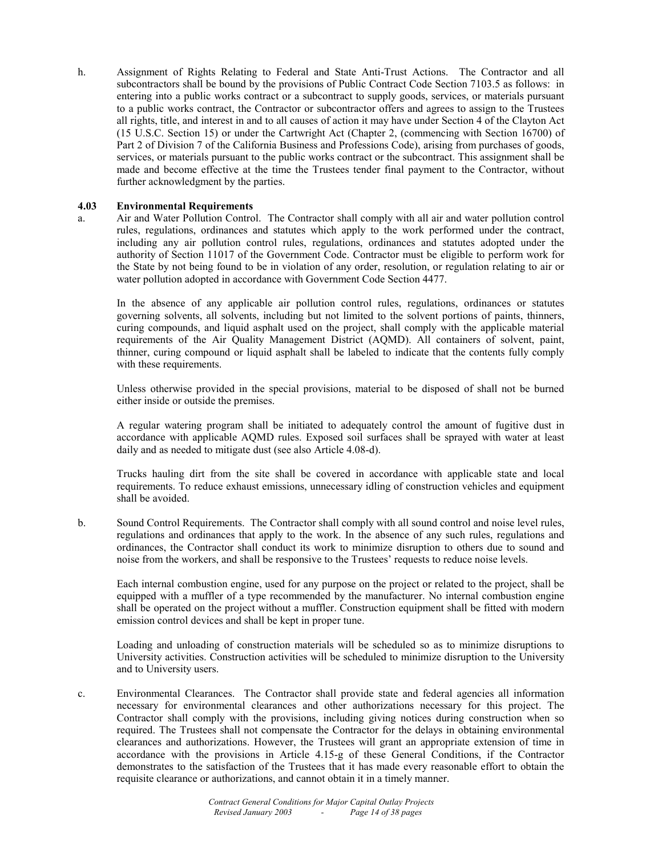h. Assignment of Rights Relating to Federal and State Anti-Trust Actions. The Contractor and all subcontractors shall be bound by the provisions of Public Contract Code Section 7103.5 as follows: in entering into a public works contract or a subcontract to supply goods, services, or materials pursuant to a public works contract, the Contractor or subcontractor offers and agrees to assign to the Trustees all rights, title, and interest in and to all causes of action it may have under Section 4 of the Clayton Act (15 U.S.C. Section 15) or under the Cartwright Act (Chapter 2, (commencing with Section 16700) of Part 2 of Division 7 of the California Business and Professions Code), arising from purchases of goods, services, or materials pursuant to the public works contract or the subcontract. This assignment shall be made and become effective at the time the Trustees tender final payment to the Contractor, without further acknowledgment by the parties.

#### **4.03 Environmental Requirements**

a. Air and Water Pollution Control. The Contractor shall comply with all air and water pollution control rules, regulations, ordinances and statutes which apply to the work performed under the contract, including any air pollution control rules, regulations, ordinances and statutes adopted under the authority of Section 11017 of the Government Code. Contractor must be eligible to perform work for the State by not being found to be in violation of any order, resolution, or regulation relating to air or water pollution adopted in accordance with Government Code Section 4477.

 In the absence of any applicable air pollution control rules, regulations, ordinances or statutes governing solvents, all solvents, including but not limited to the solvent portions of paints, thinners, curing compounds, and liquid asphalt used on the project, shall comply with the applicable material requirements of the Air Quality Management District (AQMD). All containers of solvent, paint, thinner, curing compound or liquid asphalt shall be labeled to indicate that the contents fully comply with these requirements.

 Unless otherwise provided in the special provisions, material to be disposed of shall not be burned either inside or outside the premises.

 A regular watering program shall be initiated to adequately control the amount of fugitive dust in accordance with applicable AQMD rules. Exposed soil surfaces shall be sprayed with water at least daily and as needed to mitigate dust (see also Article 4.08-d).

 Trucks hauling dirt from the site shall be covered in accordance with applicable state and local requirements. To reduce exhaust emissions, unnecessary idling of construction vehicles and equipment shall be avoided.

b. Sound Control Requirements. The Contractor shall comply with all sound control and noise level rules, regulations and ordinances that apply to the work. In the absence of any such rules, regulations and ordinances, the Contractor shall conduct its work to minimize disruption to others due to sound and noise from the workers, and shall be responsive to the Trustees' requests to reduce noise levels.

 Each internal combustion engine, used for any purpose on the project or related to the project, shall be equipped with a muffler of a type recommended by the manufacturer. No internal combustion engine shall be operated on the project without a muffler. Construction equipment shall be fitted with modern emission control devices and shall be kept in proper tune.

 Loading and unloading of construction materials will be scheduled so as to minimize disruptions to University activities. Construction activities will be scheduled to minimize disruption to the University and to University users.

c. Environmental Clearances. The Contractor shall provide state and federal agencies all information necessary for environmental clearances and other authorizations necessary for this project. The Contractor shall comply with the provisions, including giving notices during construction when so required. The Trustees shall not compensate the Contractor for the delays in obtaining environmental clearances and authorizations. However, the Trustees will grant an appropriate extension of time in accordance with the provisions in Article 4.15-g of these General Conditions, if the Contractor demonstrates to the satisfaction of the Trustees that it has made every reasonable effort to obtain the requisite clearance or authorizations, and cannot obtain it in a timely manner.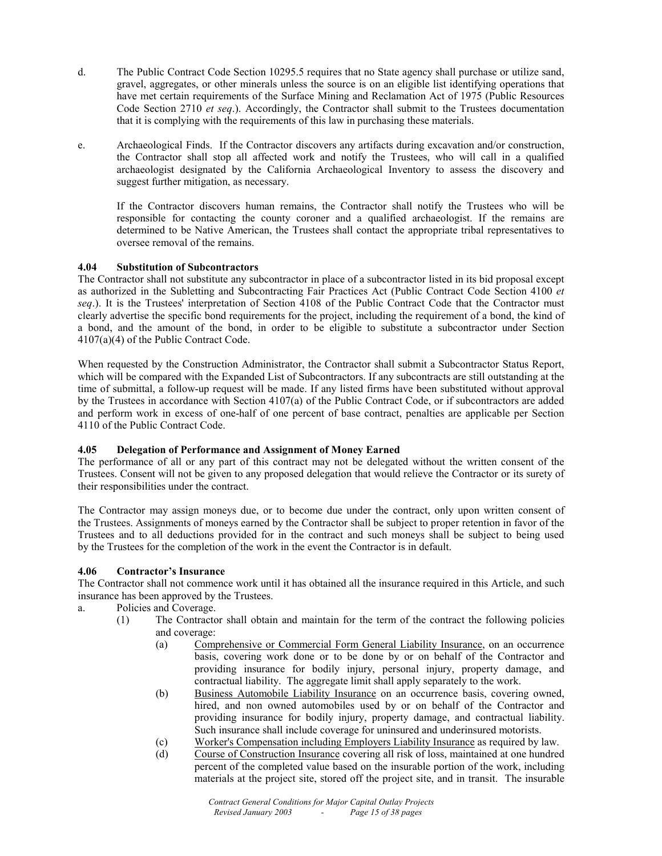- d. The Public Contract Code Section 10295.5 requires that no State agency shall purchase or utilize sand, gravel, aggregates, or other minerals unless the source is on an eligible list identifying operations that have met certain requirements of the Surface Mining and Reclamation Act of 1975 (Public Resources Code Section 2710 *et seq*.). Accordingly, the Contractor shall submit to the Trustees documentation that it is complying with the requirements of this law in purchasing these materials.
- e. Archaeological Finds. If the Contractor discovers any artifacts during excavation and/or construction, the Contractor shall stop all affected work and notify the Trustees, who will call in a qualified archaeologist designated by the California Archaeological Inventory to assess the discovery and suggest further mitigation, as necessary.

 If the Contractor discovers human remains, the Contractor shall notify the Trustees who will be responsible for contacting the county coroner and a qualified archaeologist. If the remains are determined to be Native American, the Trustees shall contact the appropriate tribal representatives to oversee removal of the remains.

# **4.04 Substitution of Subcontractors**

The Contractor shall not substitute any subcontractor in place of a subcontractor listed in its bid proposal except as authorized in the Subletting and Subcontracting Fair Practices Act (Public Contract Code Section 4100 *et seq*.). It is the Trustees' interpretation of Section 4108 of the Public Contract Code that the Contractor must clearly advertise the specific bond requirements for the project, including the requirement of a bond, the kind of a bond, and the amount of the bond, in order to be eligible to substitute a subcontractor under Section 4107(a)(4) of the Public Contract Code.

When requested by the Construction Administrator, the Contractor shall submit a Subcontractor Status Report, which will be compared with the Expanded List of Subcontractors. If any subcontracts are still outstanding at the time of submittal, a follow-up request will be made. If any listed firms have been substituted without approval by the Trustees in accordance with Section 4107(a) of the Public Contract Code, or if subcontractors are added and perform work in excess of one-half of one percent of base contract, penalties are applicable per Section 4110 of the Public Contract Code.

#### **4.05 Delegation of Performance and Assignment of Money Earned**

The performance of all or any part of this contract may not be delegated without the written consent of the Trustees. Consent will not be given to any proposed delegation that would relieve the Contractor or its surety of their responsibilities under the contract.

The Contractor may assign moneys due, or to become due under the contract, only upon written consent of the Trustees. Assignments of moneys earned by the Contractor shall be subject to proper retention in favor of the Trustees and to all deductions provided for in the contract and such moneys shall be subject to being used by the Trustees for the completion of the work in the event the Contractor is in default.

#### **4.06 Contractor's Insurance**

The Contractor shall not commence work until it has obtained all the insurance required in this Article, and such insurance has been approved by the Trustees.

- a. Policies and Coverage.
	- (1) The Contractor shall obtain and maintain for the term of the contract the following policies and coverage:
		- (a) Comprehensive or Commercial Form General Liability Insurance, on an occurrence basis, covering work done or to be done by or on behalf of the Contractor and providing insurance for bodily injury, personal injury, property damage, and contractual liability. The aggregate limit shall apply separately to the work.
		- (b) Business Automobile Liability Insurance on an occurrence basis, covering owned, hired, and non owned automobiles used by or on behalf of the Contractor and providing insurance for bodily injury, property damage, and contractual liability. Such insurance shall include coverage for uninsured and underinsured motorists.
		- (c) Worker's Compensation including Employers Liability Insurance as required by law.
		- (d) Course of Construction Insurance covering all risk of loss, maintained at one hundred percent of the completed value based on the insurable portion of the work, including materials at the project site, stored off the project site, and in transit. The insurable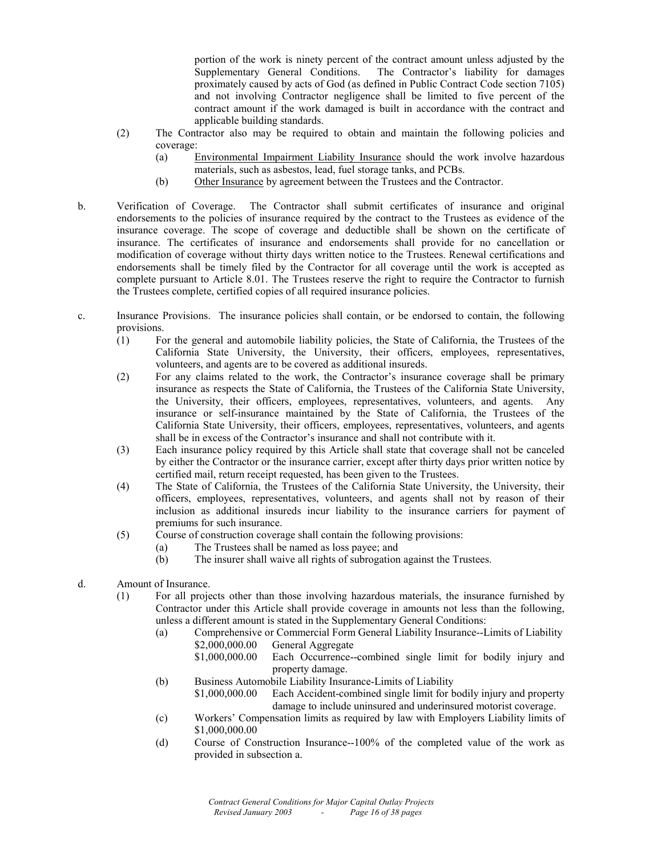portion of the work is ninety percent of the contract amount unless adjusted by the Supplementary General Conditions. The Contractor's liability for damages proximately caused by acts of God (as defined in Public Contract Code section 7105) and not involving Contractor negligence shall be limited to five percent of the contract amount if the work damaged is built in accordance with the contract and applicable building standards.

- (2) The Contractor also may be required to obtain and maintain the following policies and coverage:
	- (a) Environmental Impairment Liability Insurance should the work involve hazardous materials, such as asbestos, lead, fuel storage tanks, and PCBs.
	- (b) Other Insurance by agreement between the Trustees and the Contractor.
- b. Verification of Coverage. The Contractor shall submit certificates of insurance and original endorsements to the policies of insurance required by the contract to the Trustees as evidence of the insurance coverage. The scope of coverage and deductible shall be shown on the certificate of insurance. The certificates of insurance and endorsements shall provide for no cancellation or modification of coverage without thirty days written notice to the Trustees. Renewal certifications and endorsements shall be timely filed by the Contractor for all coverage until the work is accepted as complete pursuant to Article 8.01. The Trustees reserve the right to require the Contractor to furnish the Trustees complete, certified copies of all required insurance policies.
- c. Insurance Provisions. The insurance policies shall contain, or be endorsed to contain, the following provisions.
	- (1) For the general and automobile liability policies, the State of California, the Trustees of the California State University, the University, their officers, employees, representatives, volunteers, and agents are to be covered as additional insureds.
	- (2) For any claims related to the work, the Contractor's insurance coverage shall be primary insurance as respects the State of California, the Trustees of the California State University, the University, their officers, employees, representatives, volunteers, and agents. Any insurance or self-insurance maintained by the State of California, the Trustees of the California State University, their officers, employees, representatives, volunteers, and agents shall be in excess of the Contractor's insurance and shall not contribute with it.
	- (3) Each insurance policy required by this Article shall state that coverage shall not be canceled by either the Contractor or the insurance carrier, except after thirty days prior written notice by certified mail, return receipt requested, has been given to the Trustees.
	- (4) The State of California, the Trustees of the California State University, the University, their officers, employees, representatives, volunteers, and agents shall not by reason of their inclusion as additional insureds incur liability to the insurance carriers for payment of premiums for such insurance.
	- (5) Course of construction coverage shall contain the following provisions:
		- (a) The Trustees shall be named as loss payee; and
		- (b) The insurer shall waive all rights of subrogation against the Trustees.
- d. Amount of Insurance.
	- (1) For all projects other than those involving hazardous materials, the insurance furnished by Contractor under this Article shall provide coverage in amounts not less than the following, unless a different amount is stated in the Supplementary General Conditions:
		- (a) Comprehensive or Commercial Form General Liability Insurance--Limits of Liability \$2,000,000.00 General Aggregate
			- \$1,000,000.00 Each Occurrence--combined single limit for bodily injury and property damage.
		- (b) Business Automobile Liability Insurance-Limits of Liability
			- \$1,000,000.00 Each Accident-combined single limit for bodily injury and property damage to include uninsured and underinsured motorist coverage.
		- (c) Workers' Compensation limits as required by law with Employers Liability limits of \$1,000,000.00
		- (d) Course of Construction Insurance--100% of the completed value of the work as provided in subsection a.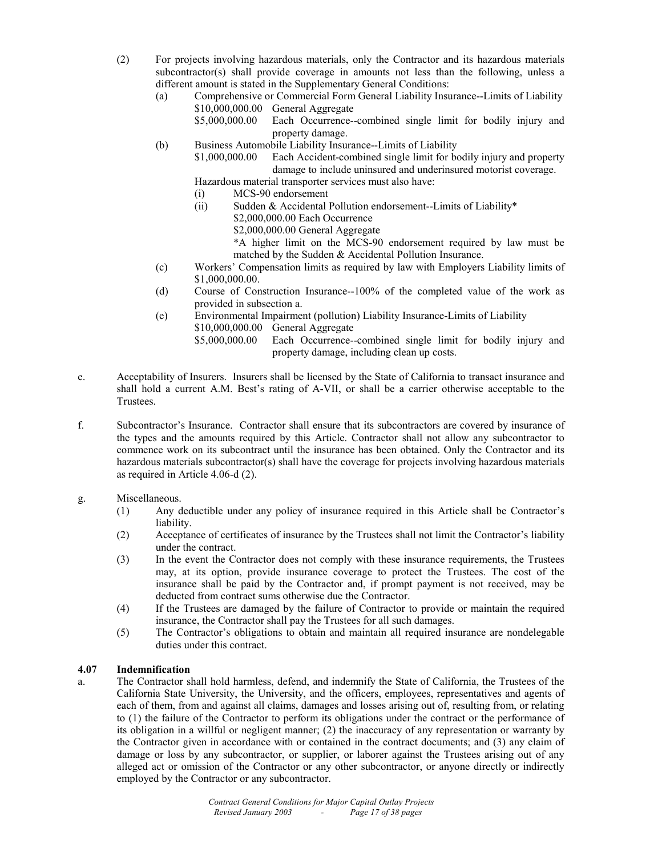- (2) For projects involving hazardous materials, only the Contractor and its hazardous materials subcontractor(s) shall provide coverage in amounts not less than the following, unless a different amount is stated in the Supplementary General Conditions:
	- (a) Comprehensive or Commercial Form General Liability Insurance--Limits of Liability \$10,000,000.00 General Aggregate
		- \$5,000,000.00 Each Occurrence--combined single limit for bodily injury and property damage.
	- (b) Business Automobile Liability Insurance--Limits of Liability

\$1,000,000.00 Each Accident-combined single limit for bodily injury and property damage to include uninsured and underinsured motorist coverage.

Hazardous material transporter services must also have:

- (i) MCS-90 endorsement
- (ii) Sudden & Accidental Pollution endorsement--Limits of Liability\*
	- \$2,000,000.00 Each Occurrence
	- \$2,000,000.00 General Aggregate
	- \*A higher limit on the MCS-90 endorsement required by law must be matched by the Sudden & Accidental Pollution Insurance.
- (c) Workers' Compensation limits as required by law with Employers Liability limits of \$1,000,000.00.
- (d) Course of Construction Insurance--100% of the completed value of the work as provided in subsection a.
- (e) Environmental Impairment (pollution) Liability Insurance-Limits of Liability \$10,000,000.00 General Aggregate
	- \$5,000,000.00 Each Occurrence--combined single limit for bodily injury and property damage, including clean up costs.
- e. Acceptability of Insurers. Insurers shall be licensed by the State of California to transact insurance and shall hold a current A.M. Best's rating of A-VII, or shall be a carrier otherwise acceptable to the **Trustees**
- f. Subcontractor's Insurance. Contractor shall ensure that its subcontractors are covered by insurance of the types and the amounts required by this Article. Contractor shall not allow any subcontractor to commence work on its subcontract until the insurance has been obtained. Only the Contractor and its hazardous materials subcontractor(s) shall have the coverage for projects involving hazardous materials as required in Article 4.06-d (2).

# g. Miscellaneous.

- (1) Any deductible under any policy of insurance required in this Article shall be Contractor's liability.
- (2) Acceptance of certificates of insurance by the Trustees shall not limit the Contractor's liability under the contract.
- (3) In the event the Contractor does not comply with these insurance requirements, the Trustees may, at its option, provide insurance coverage to protect the Trustees. The cost of the insurance shall be paid by the Contractor and, if prompt payment is not received, may be deducted from contract sums otherwise due the Contractor.
- (4) If the Trustees are damaged by the failure of Contractor to provide or maintain the required insurance, the Contractor shall pay the Trustees for all such damages.
- (5) The Contractor's obligations to obtain and maintain all required insurance are nondelegable duties under this contract.

# **4.07 Indemnification**

a. The Contractor shall hold harmless, defend, and indemnify the State of California, the Trustees of the California State University, the University, and the officers, employees, representatives and agents of each of them, from and against all claims, damages and losses arising out of, resulting from, or relating to (1) the failure of the Contractor to perform its obligations under the contract or the performance of its obligation in a willful or negligent manner; (2) the inaccuracy of any representation or warranty by the Contractor given in accordance with or contained in the contract documents; and (3) any claim of damage or loss by any subcontractor, or supplier, or laborer against the Trustees arising out of any alleged act or omission of the Contractor or any other subcontractor, or anyone directly or indirectly employed by the Contractor or any subcontractor.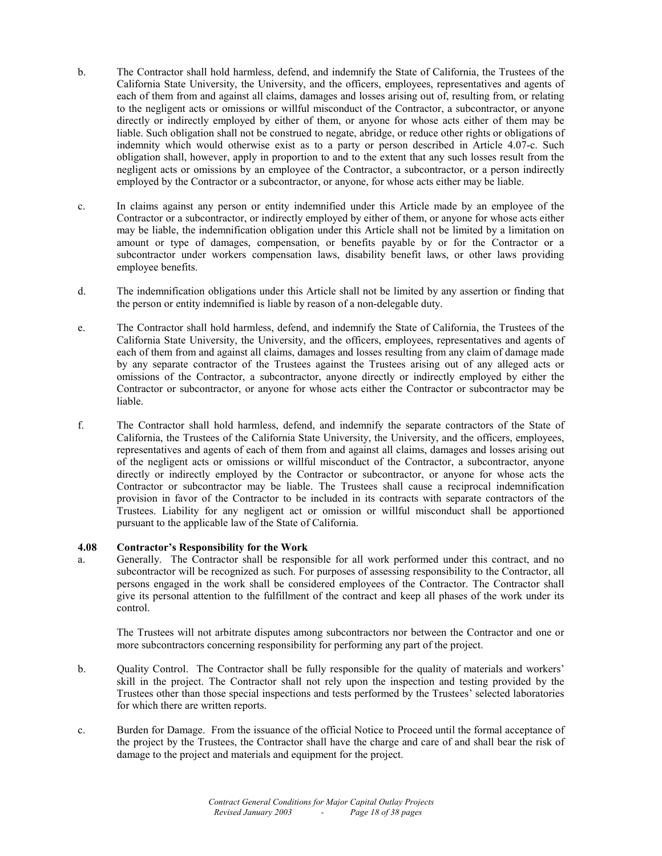- b. The Contractor shall hold harmless, defend, and indemnify the State of California, the Trustees of the California State University, the University, and the officers, employees, representatives and agents of each of them from and against all claims, damages and losses arising out of, resulting from, or relating to the negligent acts or omissions or willful misconduct of the Contractor, a subcontractor, or anyone directly or indirectly employed by either of them, or anyone for whose acts either of them may be liable. Such obligation shall not be construed to negate, abridge, or reduce other rights or obligations of indemnity which would otherwise exist as to a party or person described in Article 4.07-c. Such obligation shall, however, apply in proportion to and to the extent that any such losses result from the negligent acts or omissions by an employee of the Contractor, a subcontractor, or a person indirectly employed by the Contractor or a subcontractor, or anyone, for whose acts either may be liable.
- c. In claims against any person or entity indemnified under this Article made by an employee of the Contractor or a subcontractor, or indirectly employed by either of them, or anyone for whose acts either may be liable, the indemnification obligation under this Article shall not be limited by a limitation on amount or type of damages, compensation, or benefits payable by or for the Contractor or a subcontractor under workers compensation laws, disability benefit laws, or other laws providing employee benefits.
- d. The indemnification obligations under this Article shall not be limited by any assertion or finding that the person or entity indemnified is liable by reason of a non-delegable duty.
- e. The Contractor shall hold harmless, defend, and indemnify the State of California, the Trustees of the California State University, the University, and the officers, employees, representatives and agents of each of them from and against all claims, damages and losses resulting from any claim of damage made by any separate contractor of the Trustees against the Trustees arising out of any alleged acts or omissions of the Contractor, a subcontractor, anyone directly or indirectly employed by either the Contractor or subcontractor, or anyone for whose acts either the Contractor or subcontractor may be liable.
- f. The Contractor shall hold harmless, defend, and indemnify the separate contractors of the State of California, the Trustees of the California State University, the University, and the officers, employees, representatives and agents of each of them from and against all claims, damages and losses arising out of the negligent acts or omissions or willful misconduct of the Contractor, a subcontractor, anyone directly or indirectly employed by the Contractor or subcontractor, or anyone for whose acts the Contractor or subcontractor may be liable. The Trustees shall cause a reciprocal indemnification provision in favor of the Contractor to be included in its contracts with separate contractors of the Trustees. Liability for any negligent act or omission or willful misconduct shall be apportioned pursuant to the applicable law of the State of California.

#### **4.08 Contractor's Responsibility for the Work**

a. Generally. The Contractor shall be responsible for all work performed under this contract, and no subcontractor will be recognized as such. For purposes of assessing responsibility to the Contractor, all persons engaged in the work shall be considered employees of the Contractor. The Contractor shall give its personal attention to the fulfillment of the contract and keep all phases of the work under its control.

 The Trustees will not arbitrate disputes among subcontractors nor between the Contractor and one or more subcontractors concerning responsibility for performing any part of the project.

- b. Quality Control. The Contractor shall be fully responsible for the quality of materials and workers' skill in the project. The Contractor shall not rely upon the inspection and testing provided by the Trustees other than those special inspections and tests performed by the Trustees' selected laboratories for which there are written reports.
- c. Burden for Damage. From the issuance of the official Notice to Proceed until the formal acceptance of the project by the Trustees, the Contractor shall have the charge and care of and shall bear the risk of damage to the project and materials and equipment for the project.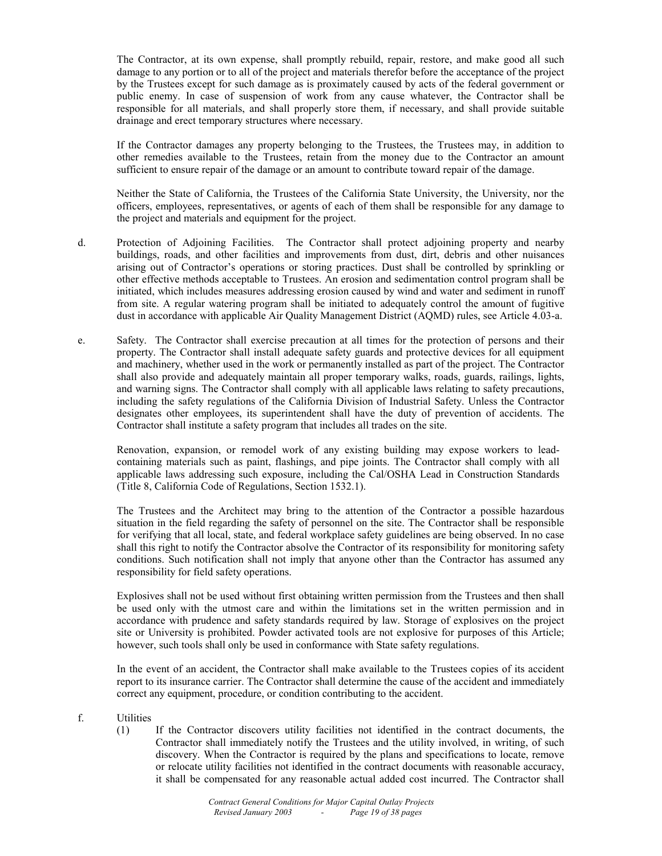The Contractor, at its own expense, shall promptly rebuild, repair, restore, and make good all such damage to any portion or to all of the project and materials therefor before the acceptance of the project by the Trustees except for such damage as is proximately caused by acts of the federal government or public enemy. In case of suspension of work from any cause whatever, the Contractor shall be responsible for all materials, and shall properly store them, if necessary, and shall provide suitable drainage and erect temporary structures where necessary.

 If the Contractor damages any property belonging to the Trustees, the Trustees may, in addition to other remedies available to the Trustees, retain from the money due to the Contractor an amount sufficient to ensure repair of the damage or an amount to contribute toward repair of the damage.

 Neither the State of California, the Trustees of the California State University, the University, nor the officers, employees, representatives, or agents of each of them shall be responsible for any damage to the project and materials and equipment for the project.

- d. Protection of Adjoining Facilities. The Contractor shall protect adjoining property and nearby buildings, roads, and other facilities and improvements from dust, dirt, debris and other nuisances arising out of Contractor's operations or storing practices. Dust shall be controlled by sprinkling or other effective methods acceptable to Trustees. An erosion and sedimentation control program shall be initiated, which includes measures addressing erosion caused by wind and water and sediment in runoff from site. A regular watering program shall be initiated to adequately control the amount of fugitive dust in accordance with applicable Air Quality Management District (AQMD) rules, see Article 4.03-a.
- e. Safety. The Contractor shall exercise precaution at all times for the protection of persons and their property. The Contractor shall install adequate safety guards and protective devices for all equipment and machinery, whether used in the work or permanently installed as part of the project. The Contractor shall also provide and adequately maintain all proper temporary walks, roads, guards, railings, lights, and warning signs. The Contractor shall comply with all applicable laws relating to safety precautions, including the safety regulations of the California Division of Industrial Safety. Unless the Contractor designates other employees, its superintendent shall have the duty of prevention of accidents. The Contractor shall institute a safety program that includes all trades on the site.

Renovation, expansion, or remodel work of any existing building may expose workers to leadcontaining materials such as paint, flashings, and pipe joints. The Contractor shall comply with all applicable laws addressing such exposure, including the Cal/OSHA Lead in Construction Standards (Title 8, California Code of Regulations, Section 1532.1).

 The Trustees and the Architect may bring to the attention of the Contractor a possible hazardous situation in the field regarding the safety of personnel on the site. The Contractor shall be responsible for verifying that all local, state, and federal workplace safety guidelines are being observed. In no case shall this right to notify the Contractor absolve the Contractor of its responsibility for monitoring safety conditions. Such notification shall not imply that anyone other than the Contractor has assumed any responsibility for field safety operations.

 Explosives shall not be used without first obtaining written permission from the Trustees and then shall be used only with the utmost care and within the limitations set in the written permission and in accordance with prudence and safety standards required by law. Storage of explosives on the project site or University is prohibited. Powder activated tools are not explosive for purposes of this Article; however, such tools shall only be used in conformance with State safety regulations.

 In the event of an accident, the Contractor shall make available to the Trustees copies of its accident report to its insurance carrier. The Contractor shall determine the cause of the accident and immediately correct any equipment, procedure, or condition contributing to the accident.

- f. Utilities
	- (1) If the Contractor discovers utility facilities not identified in the contract documents, the Contractor shall immediately notify the Trustees and the utility involved, in writing, of such discovery. When the Contractor is required by the plans and specifications to locate, remove or relocate utility facilities not identified in the contract documents with reasonable accuracy, it shall be compensated for any reasonable actual added cost incurred. The Contractor shall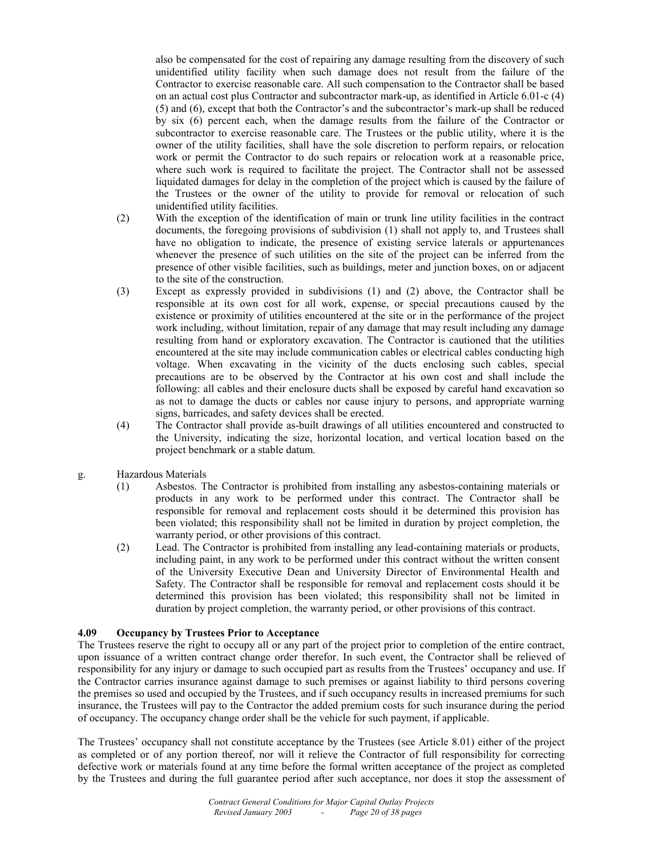also be compensated for the cost of repairing any damage resulting from the discovery of such unidentified utility facility when such damage does not result from the failure of the Contractor to exercise reasonable care. All such compensation to the Contractor shall be based on an actual cost plus Contractor and subcontractor mark-up, as identified in Article 6.01-c (4) (5) and (6), except that both the Contractor's and the subcontractor's mark-up shall be reduced by six (6) percent each, when the damage results from the failure of the Contractor or subcontractor to exercise reasonable care. The Trustees or the public utility, where it is the owner of the utility facilities, shall have the sole discretion to perform repairs, or relocation work or permit the Contractor to do such repairs or relocation work at a reasonable price, where such work is required to facilitate the project. The Contractor shall not be assessed liquidated damages for delay in the completion of the project which is caused by the failure of the Trustees or the owner of the utility to provide for removal or relocation of such unidentified utility facilities.

- (2) With the exception of the identification of main or trunk line utility facilities in the contract documents, the foregoing provisions of subdivision (1) shall not apply to, and Trustees shall have no obligation to indicate, the presence of existing service laterals or appurtenances whenever the presence of such utilities on the site of the project can be inferred from the presence of other visible facilities, such as buildings, meter and junction boxes, on or adjacent to the site of the construction.
- (3) Except as expressly provided in subdivisions (1) and (2) above, the Contractor shall be responsible at its own cost for all work, expense, or special precautions caused by the existence or proximity of utilities encountered at the site or in the performance of the project work including, without limitation, repair of any damage that may result including any damage resulting from hand or exploratory excavation. The Contractor is cautioned that the utilities encountered at the site may include communication cables or electrical cables conducting high voltage. When excavating in the vicinity of the ducts enclosing such cables, special precautions are to be observed by the Contractor at his own cost and shall include the following: all cables and their enclosure ducts shall be exposed by careful hand excavation so as not to damage the ducts or cables nor cause injury to persons, and appropriate warning signs, barricades, and safety devices shall be erected.
- (4) The Contractor shall provide as-built drawings of all utilities encountered and constructed to the University, indicating the size, horizontal location, and vertical location based on the project benchmark or a stable datum.
- g. Hazardous Materials
	- (1) Asbestos. The Contractor is prohibited from installing any asbestos-containing materials or products in any work to be performed under this contract. The Contractor shall be responsible for removal and replacement costs should it be determined this provision has been violated; this responsibility shall not be limited in duration by project completion, the warranty period, or other provisions of this contract.
	- (2) Lead. The Contractor is prohibited from installing any lead-containing materials or products, including paint, in any work to be performed under this contract without the written consent of the University Executive Dean and University Director of Environmental Health and Safety. The Contractor shall be responsible for removal and replacement costs should it be determined this provision has been violated; this responsibility shall not be limited in duration by project completion, the warranty period, or other provisions of this contract.

#### **4.09 Occupancy by Trustees Prior to Acceptance**

The Trustees reserve the right to occupy all or any part of the project prior to completion of the entire contract, upon issuance of a written contract change order therefor. In such event, the Contractor shall be relieved of responsibility for any injury or damage to such occupied part as results from the Trustees' occupancy and use. If the Contractor carries insurance against damage to such premises or against liability to third persons covering the premises so used and occupied by the Trustees, and if such occupancy results in increased premiums for such insurance, the Trustees will pay to the Contractor the added premium costs for such insurance during the period of occupancy. The occupancy change order shall be the vehicle for such payment, if applicable.

The Trustees' occupancy shall not constitute acceptance by the Trustees (see Article 8.01) either of the project as completed or of any portion thereof, nor will it relieve the Contractor of full responsibility for correcting defective work or materials found at any time before the formal written acceptance of the project as completed by the Trustees and during the full guarantee period after such acceptance, nor does it stop the assessment of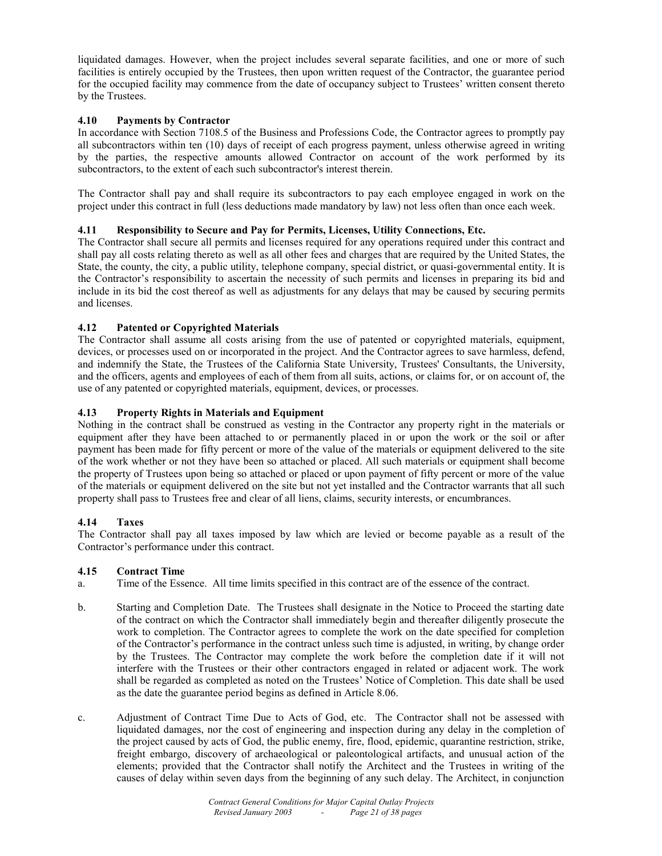liquidated damages. However, when the project includes several separate facilities, and one or more of such facilities is entirely occupied by the Trustees, then upon written request of the Contractor, the guarantee period for the occupied facility may commence from the date of occupancy subject to Trustees' written consent thereto by the Trustees.

# **4.10 Payments by Contractor**

In accordance with Section 7108.5 of the Business and Professions Code, the Contractor agrees to promptly pay all subcontractors within ten (10) days of receipt of each progress payment, unless otherwise agreed in writing by the parties, the respective amounts allowed Contractor on account of the work performed by its subcontractors, to the extent of each such subcontractor's interest therein.

The Contractor shall pay and shall require its subcontractors to pay each employee engaged in work on the project under this contract in full (less deductions made mandatory by law) not less often than once each week.

# **4.11 Responsibility to Secure and Pay for Permits, Licenses, Utility Connections, Etc.**

The Contractor shall secure all permits and licenses required for any operations required under this contract and shall pay all costs relating thereto as well as all other fees and charges that are required by the United States, the State, the county, the city, a public utility, telephone company, special district, or quasi-governmental entity. It is the Contractor's responsibility to ascertain the necessity of such permits and licenses in preparing its bid and include in its bid the cost thereof as well as adjustments for any delays that may be caused by securing permits and licenses.

# **4.12 Patented or Copyrighted Materials**

The Contractor shall assume all costs arising from the use of patented or copyrighted materials, equipment, devices, or processes used on or incorporated in the project. And the Contractor agrees to save harmless, defend, and indemnify the State, the Trustees of the California State University, Trustees' Consultants, the University, and the officers, agents and employees of each of them from all suits, actions, or claims for, or on account of, the use of any patented or copyrighted materials, equipment, devices, or processes.

# **4.13 Property Rights in Materials and Equipment**

Nothing in the contract shall be construed as vesting in the Contractor any property right in the materials or equipment after they have been attached to or permanently placed in or upon the work or the soil or after payment has been made for fifty percent or more of the value of the materials or equipment delivered to the site of the work whether or not they have been so attached or placed. All such materials or equipment shall become the property of Trustees upon being so attached or placed or upon payment of fifty percent or more of the value of the materials or equipment delivered on the site but not yet installed and the Contractor warrants that all such property shall pass to Trustees free and clear of all liens, claims, security interests, or encumbrances.

# **4.14 Taxes**

The Contractor shall pay all taxes imposed by law which are levied or become payable as a result of the Contractor's performance under this contract.

# **4.15 Contract Time**

a. Time of the Essence. All time limits specified in this contract are of the essence of the contract.

- b. Starting and Completion Date. The Trustees shall designate in the Notice to Proceed the starting date of the contract on which the Contractor shall immediately begin and thereafter diligently prosecute the work to completion. The Contractor agrees to complete the work on the date specified for completion of the Contractor's performance in the contract unless such time is adjusted, in writing, by change order by the Trustees. The Contractor may complete the work before the completion date if it will not interfere with the Trustees or their other contractors engaged in related or adjacent work. The work shall be regarded as completed as noted on the Trustees' Notice of Completion. This date shall be used as the date the guarantee period begins as defined in Article 8.06.
- c. Adjustment of Contract Time Due to Acts of God, etc. The Contractor shall not be assessed with liquidated damages, nor the cost of engineering and inspection during any delay in the completion of the project caused by acts of God, the public enemy, fire, flood, epidemic, quarantine restriction, strike, freight embargo, discovery of archaeological or paleontological artifacts, and unusual action of the elements; provided that the Contractor shall notify the Architect and the Trustees in writing of the causes of delay within seven days from the beginning of any such delay. The Architect, in conjunction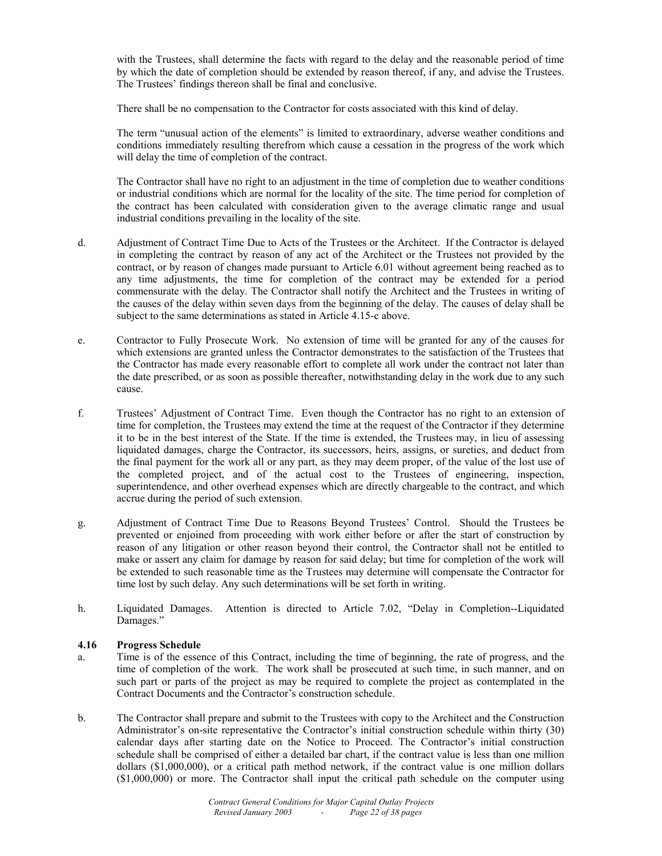with the Trustees, shall determine the facts with regard to the delay and the reasonable period of time by which the date of completion should be extended by reason thereof, if any, and advise the Trustees. The Trustees' findings thereon shall be final and conclusive.

There shall be no compensation to the Contractor for costs associated with this kind of delay.

 The term "unusual action of the elements" is limited to extraordinary, adverse weather conditions and conditions immediately resulting therefrom which cause a cessation in the progress of the work which will delay the time of completion of the contract.

 The Contractor shall have no right to an adjustment in the time of completion due to weather conditions or industrial conditions which are normal for the locality of the site. The time period for completion of the contract has been calculated with consideration given to the average climatic range and usual industrial conditions prevailing in the locality of the site.

- d. Adjustment of Contract Time Due to Acts of the Trustees or the Architect. If the Contractor is delayed in completing the contract by reason of any act of the Architect or the Trustees not provided by the contract, or by reason of changes made pursuant to Article 6.01 without agreement being reached as to any time adjustments, the time for completion of the contract may be extended for a period commensurate with the delay. The Contractor shall notify the Architect and the Trustees in writing of the causes of the delay within seven days from the beginning of the delay. The causes of delay shall be subject to the same determinations as stated in Article 4.15-c above.
- e. Contractor to Fully Prosecute Work. No extension of time will be granted for any of the causes for which extensions are granted unless the Contractor demonstrates to the satisfaction of the Trustees that the Contractor has made every reasonable effort to complete all work under the contract not later than the date prescribed, or as soon as possible thereafter, notwithstanding delay in the work due to any such cause.
- f. Trustees' Adjustment of Contract Time. Even though the Contractor has no right to an extension of time for completion, the Trustees may extend the time at the request of the Contractor if they determine it to be in the best interest of the State. If the time is extended, the Trustees may, in lieu of assessing liquidated damages, charge the Contractor, its successors, heirs, assigns, or sureties, and deduct from the final payment for the work all or any part, as they may deem proper, of the value of the lost use of the completed project, and of the actual cost to the Trustees of engineering, inspection, superintendence, and other overhead expenses which are directly chargeable to the contract, and which accrue during the period of such extension.
- g. Adjustment of Contract Time Due to Reasons Beyond Trustees' Control. Should the Trustees be prevented or enjoined from proceeding with work either before or after the start of construction by reason of any litigation or other reason beyond their control, the Contractor shall not be entitled to make or assert any claim for damage by reason for said delay; but time for completion of the work will be extended to such reasonable time as the Trustees may determine will compensate the Contractor for time lost by such delay. Any such determinations will be set forth in writing.
- h. Liquidated Damages. Attention is directed to Article 7.02, "Delay in Completion--Liquidated Damages."

# **4.16 Progress Schedule**

- a. Time is of the essence of this Contract, including the time of beginning, the rate of progress, and the time of completion of the work. The work shall be prosecuted at such time, in such manner, and on such part or parts of the project as may be required to complete the project as contemplated in the Contract Documents and the Contractor's construction schedule.
- b. The Contractor shall prepare and submit to the Trustees with copy to the Architect and the Construction Administrator's on-site representative the Contractor's initial construction schedule within thirty (30) calendar days after starting date on the Notice to Proceed. The Contractor's initial construction schedule shall be comprised of either a detailed bar chart, if the contract value is less than one million dollars (\$1,000,000), or a critical path method network, if the contract value is one million dollars (\$1,000,000) or more. The Contractor shall input the critical path schedule on the computer using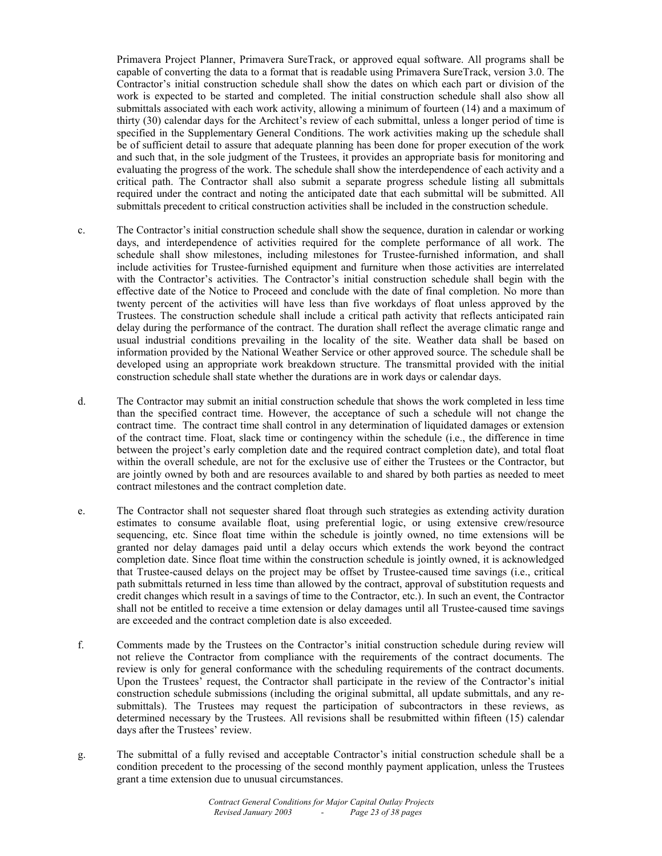Primavera Project Planner, Primavera SureTrack, or approved equal software. All programs shall be capable of converting the data to a format that is readable using Primavera SureTrack, version 3.0. The Contractor's initial construction schedule shall show the dates on which each part or division of the work is expected to be started and completed. The initial construction schedule shall also show all submittals associated with each work activity, allowing a minimum of fourteen (14) and a maximum of thirty (30) calendar days for the Architect's review of each submittal, unless a longer period of time is specified in the Supplementary General Conditions. The work activities making up the schedule shall be of sufficient detail to assure that adequate planning has been done for proper execution of the work and such that, in the sole judgment of the Trustees, it provides an appropriate basis for monitoring and evaluating the progress of the work. The schedule shall show the interdependence of each activity and a critical path. The Contractor shall also submit a separate progress schedule listing all submittals required under the contract and noting the anticipated date that each submittal will be submitted. All submittals precedent to critical construction activities shall be included in the construction schedule.

- c. The Contractor's initial construction schedule shall show the sequence, duration in calendar or working days, and interdependence of activities required for the complete performance of all work. The schedule shall show milestones, including milestones for Trustee-furnished information, and shall include activities for Trustee-furnished equipment and furniture when those activities are interrelated with the Contractor's activities. The Contractor's initial construction schedule shall begin with the effective date of the Notice to Proceed and conclude with the date of final completion. No more than twenty percent of the activities will have less than five workdays of float unless approved by the Trustees. The construction schedule shall include a critical path activity that reflects anticipated rain delay during the performance of the contract. The duration shall reflect the average climatic range and usual industrial conditions prevailing in the locality of the site. Weather data shall be based on information provided by the National Weather Service or other approved source. The schedule shall be developed using an appropriate work breakdown structure. The transmittal provided with the initial construction schedule shall state whether the durations are in work days or calendar days.
- d. The Contractor may submit an initial construction schedule that shows the work completed in less time than the specified contract time. However, the acceptance of such a schedule will not change the contract time. The contract time shall control in any determination of liquidated damages or extension of the contract time. Float, slack time or contingency within the schedule (i.e., the difference in time between the project's early completion date and the required contract completion date), and total float within the overall schedule, are not for the exclusive use of either the Trustees or the Contractor, but are jointly owned by both and are resources available to and shared by both parties as needed to meet contract milestones and the contract completion date.
- e. The Contractor shall not sequester shared float through such strategies as extending activity duration estimates to consume available float, using preferential logic, or using extensive crew/resource sequencing, etc. Since float time within the schedule is jointly owned, no time extensions will be granted nor delay damages paid until a delay occurs which extends the work beyond the contract completion date. Since float time within the construction schedule is jointly owned, it is acknowledged that Trustee-caused delays on the project may be offset by Trustee-caused time savings (i.e., critical path submittals returned in less time than allowed by the contract, approval of substitution requests and credit changes which result in a savings of time to the Contractor, etc.). In such an event, the Contractor shall not be entitled to receive a time extension or delay damages until all Trustee-caused time savings are exceeded and the contract completion date is also exceeded.
- f. Comments made by the Trustees on the Contractor's initial construction schedule during review will not relieve the Contractor from compliance with the requirements of the contract documents. The review is only for general conformance with the scheduling requirements of the contract documents. Upon the Trustees' request, the Contractor shall participate in the review of the Contractor's initial construction schedule submissions (including the original submittal, all update submittals, and any resubmittals). The Trustees may request the participation of subcontractors in these reviews, as determined necessary by the Trustees. All revisions shall be resubmitted within fifteen (15) calendar days after the Trustees' review.
- g. The submittal of a fully revised and acceptable Contractor's initial construction schedule shall be a condition precedent to the processing of the second monthly payment application, unless the Trustees grant a time extension due to unusual circumstances.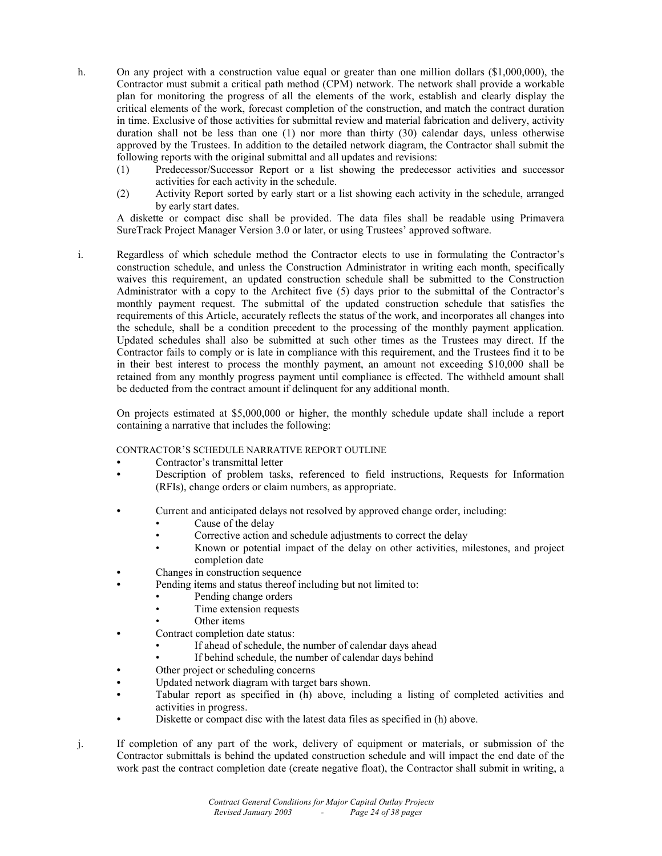- h. On any project with a construction value equal or greater than one million dollars (\$1,000,000), the Contractor must submit a critical path method (CPM) network. The network shall provide a workable plan for monitoring the progress of all the elements of the work, establish and clearly display the critical elements of the work, forecast completion of the construction, and match the contract duration in time. Exclusive of those activities for submittal review and material fabrication and delivery, activity duration shall not be less than one (1) nor more than thirty (30) calendar days, unless otherwise approved by the Trustees. In addition to the detailed network diagram, the Contractor shall submit the following reports with the original submittal and all updates and revisions:
	- (1) Predecessor/Successor Report or a list showing the predecessor activities and successor activities for each activity in the schedule.
	- (2) Activity Report sorted by early start or a list showing each activity in the schedule, arranged by early start dates.

A diskette or compact disc shall be provided. The data files shall be readable using Primavera SureTrack Project Manager Version 3.0 or later, or using Trustees' approved software.

i. Regardless of which schedule method the Contractor elects to use in formulating the Contractor's construction schedule, and unless the Construction Administrator in writing each month, specifically waives this requirement, an updated construction schedule shall be submitted to the Construction Administrator with a copy to the Architect five (5) days prior to the submittal of the Contractor's monthly payment request. The submittal of the updated construction schedule that satisfies the requirements of this Article, accurately reflects the status of the work, and incorporates all changes into the schedule, shall be a condition precedent to the processing of the monthly payment application. Updated schedules shall also be submitted at such other times as the Trustees may direct. If the Contractor fails to comply or is late in compliance with this requirement, and the Trustees find it to be in their best interest to process the monthly payment, an amount not exceeding \$10,000 shall be retained from any monthly progress payment until compliance is effected. The withheld amount shall be deducted from the contract amount if delinquent for any additional month.

On projects estimated at \$5,000,000 or higher, the monthly schedule update shall include a report containing a narrative that includes the following:

CONTRACTOR'S SCHEDULE NARRATIVE REPORT OUTLINE

- **•** Contractor's transmittal letter
- **•** Description of problem tasks, referenced to field instructions, Requests for Information (RFIs), change orders or claim numbers, as appropriate.
- **•** Current and anticipated delays not resolved by approved change order, including:
	- Cause of the delay
	- Corrective action and schedule adjustments to correct the delay
	- Known or potential impact of the delay on other activities, milestones, and project completion date
- **•** Changes in construction sequence
	- **•** Pending items and status thereof including but not limited to:
		- Pending change orders
			- Time extension requests
		- Other items
- **•** Contract completion date status:
	- If ahead of schedule, the number of calendar days ahead
	- If behind schedule, the number of calendar days behind
- **•** Other project or scheduling concerns
- **•** Updated network diagram with target bars shown.
- **•** Tabular report as specified in (h) above, including a listing of completed activities and activities in progress.
- Diskette or compact disc with the latest data files as specified in (h) above.
- j. If completion of any part of the work, delivery of equipment or materials, or submission of the Contractor submittals is behind the updated construction schedule and will impact the end date of the work past the contract completion date (create negative float), the Contractor shall submit in writing, a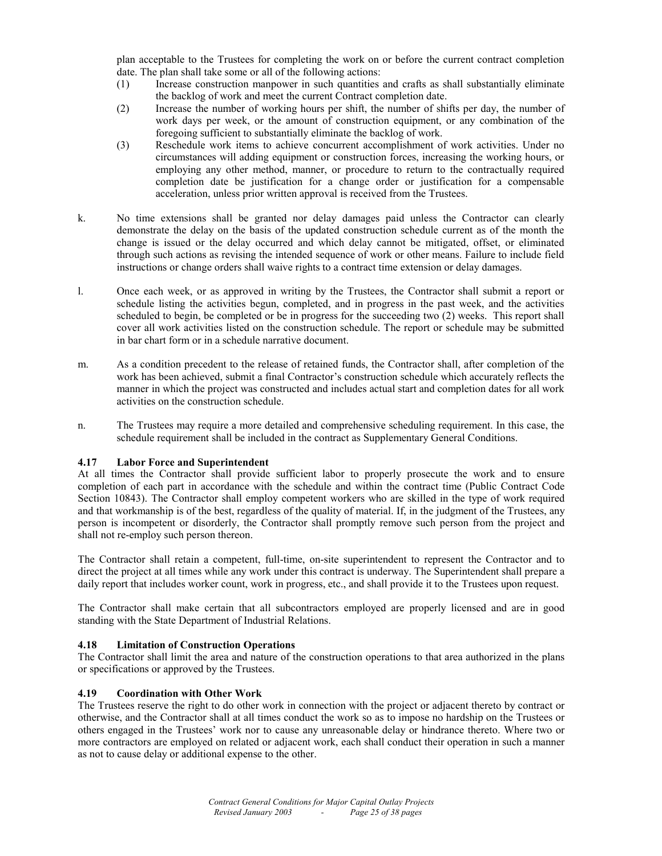plan acceptable to the Trustees for completing the work on or before the current contract completion date. The plan shall take some or all of the following actions:

- (1) Increase construction manpower in such quantities and crafts as shall substantially eliminate the backlog of work and meet the current Contract completion date.
- (2) Increase the number of working hours per shift, the number of shifts per day, the number of work days per week, or the amount of construction equipment, or any combination of the foregoing sufficient to substantially eliminate the backlog of work.
- (3) Reschedule work items to achieve concurrent accomplishment of work activities. Under no circumstances will adding equipment or construction forces, increasing the working hours, or employing any other method, manner, or procedure to return to the contractually required completion date be justification for a change order or justification for a compensable acceleration, unless prior written approval is received from the Trustees.
- k. No time extensions shall be granted nor delay damages paid unless the Contractor can clearly demonstrate the delay on the basis of the updated construction schedule current as of the month the change is issued or the delay occurred and which delay cannot be mitigated, offset, or eliminated through such actions as revising the intended sequence of work or other means. Failure to include field instructions or change orders shall waive rights to a contract time extension or delay damages.
- l. Once each week, or as approved in writing by the Trustees, the Contractor shall submit a report or schedule listing the activities begun, completed, and in progress in the past week, and the activities scheduled to begin, be completed or be in progress for the succeeding two (2) weeks. This report shall cover all work activities listed on the construction schedule. The report or schedule may be submitted in bar chart form or in a schedule narrative document.
- m. As a condition precedent to the release of retained funds, the Contractor shall, after completion of the work has been achieved, submit a final Contractor's construction schedule which accurately reflects the manner in which the project was constructed and includes actual start and completion dates for all work activities on the construction schedule.
- n. The Trustees may require a more detailed and comprehensive scheduling requirement. In this case, the schedule requirement shall be included in the contract as Supplementary General Conditions.

# **4.17 Labor Force and Superintendent**

At all times the Contractor shall provide sufficient labor to properly prosecute the work and to ensure completion of each part in accordance with the schedule and within the contract time (Public Contract Code Section 10843). The Contractor shall employ competent workers who are skilled in the type of work required and that workmanship is of the best, regardless of the quality of material. If, in the judgment of the Trustees, any person is incompetent or disorderly, the Contractor shall promptly remove such person from the project and shall not re-employ such person thereon.

The Contractor shall retain a competent, full-time, on-site superintendent to represent the Contractor and to direct the project at all times while any work under this contract is underway. The Superintendent shall prepare a daily report that includes worker count, work in progress, etc., and shall provide it to the Trustees upon request.

The Contractor shall make certain that all subcontractors employed are properly licensed and are in good standing with the State Department of Industrial Relations.

# **4.18 Limitation of Construction Operations**

The Contractor shall limit the area and nature of the construction operations to that area authorized in the plans or specifications or approved by the Trustees.

# **4.19 Coordination with Other Work**

The Trustees reserve the right to do other work in connection with the project or adjacent thereto by contract or otherwise, and the Contractor shall at all times conduct the work so as to impose no hardship on the Trustees or others engaged in the Trustees' work nor to cause any unreasonable delay or hindrance thereto. Where two or more contractors are employed on related or adjacent work, each shall conduct their operation in such a manner as not to cause delay or additional expense to the other.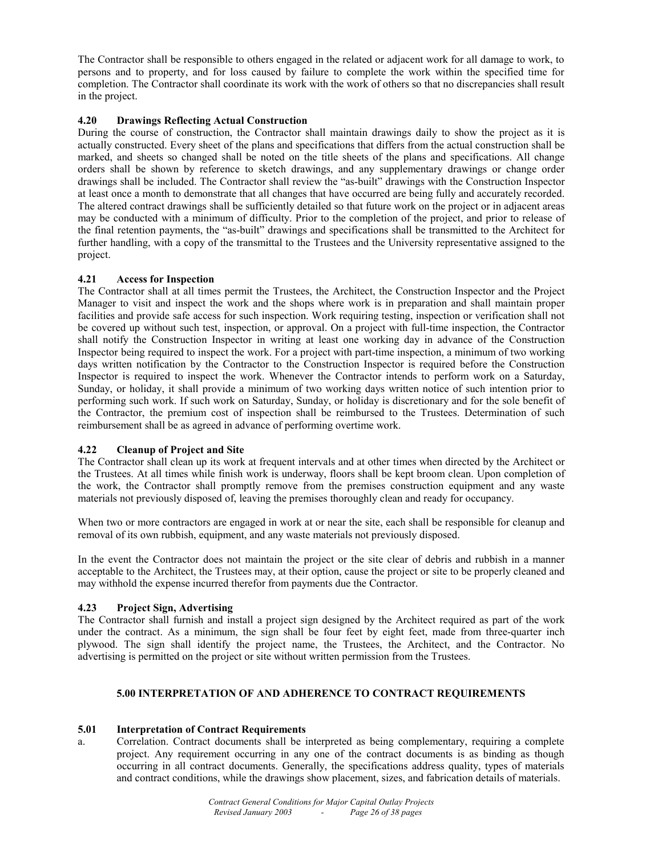The Contractor shall be responsible to others engaged in the related or adjacent work for all damage to work, to persons and to property, and for loss caused by failure to complete the work within the specified time for completion. The Contractor shall coordinate its work with the work of others so that no discrepancies shall result in the project.

# **4.20 Drawings Reflecting Actual Construction**

During the course of construction, the Contractor shall maintain drawings daily to show the project as it is actually constructed. Every sheet of the plans and specifications that differs from the actual construction shall be marked, and sheets so changed shall be noted on the title sheets of the plans and specifications. All change orders shall be shown by reference to sketch drawings, and any supplementary drawings or change order drawings shall be included. The Contractor shall review the "as-built" drawings with the Construction Inspector at least once a month to demonstrate that all changes that have occurred are being fully and accurately recorded. The altered contract drawings shall be sufficiently detailed so that future work on the project or in adjacent areas may be conducted with a minimum of difficulty. Prior to the completion of the project, and prior to release of the final retention payments, the "as-built" drawings and specifications shall be transmitted to the Architect for further handling, with a copy of the transmittal to the Trustees and the University representative assigned to the project.

# **4.21 Access for Inspection**

The Contractor shall at all times permit the Trustees, the Architect, the Construction Inspector and the Project Manager to visit and inspect the work and the shops where work is in preparation and shall maintain proper facilities and provide safe access for such inspection. Work requiring testing, inspection or verification shall not be covered up without such test, inspection, or approval. On a project with full-time inspection, the Contractor shall notify the Construction Inspector in writing at least one working day in advance of the Construction Inspector being required to inspect the work. For a project with part-time inspection, a minimum of two working days written notification by the Contractor to the Construction Inspector is required before the Construction Inspector is required to inspect the work. Whenever the Contractor intends to perform work on a Saturday, Sunday, or holiday, it shall provide a minimum of two working days written notice of such intention prior to performing such work. If such work on Saturday, Sunday, or holiday is discretionary and for the sole benefit of the Contractor, the premium cost of inspection shall be reimbursed to the Trustees. Determination of such reimbursement shall be as agreed in advance of performing overtime work.

# **4.22 Cleanup of Project and Site**

The Contractor shall clean up its work at frequent intervals and at other times when directed by the Architect or the Trustees. At all times while finish work is underway, floors shall be kept broom clean. Upon completion of the work, the Contractor shall promptly remove from the premises construction equipment and any waste materials not previously disposed of, leaving the premises thoroughly clean and ready for occupancy.

When two or more contractors are engaged in work at or near the site, each shall be responsible for cleanup and removal of its own rubbish, equipment, and any waste materials not previously disposed.

In the event the Contractor does not maintain the project or the site clear of debris and rubbish in a manner acceptable to the Architect, the Trustees may, at their option, cause the project or site to be properly cleaned and may withhold the expense incurred therefor from payments due the Contractor.

#### **4.23 Project Sign, Advertising**

The Contractor shall furnish and install a project sign designed by the Architect required as part of the work under the contract. As a minimum, the sign shall be four feet by eight feet, made from three-quarter inch plywood. The sign shall identify the project name, the Trustees, the Architect, and the Contractor. No advertising is permitted on the project or site without written permission from the Trustees.

# **5.00 INTERPRETATION OF AND ADHERENCE TO CONTRACT REQUIREMENTS**

# **5.01 Interpretation of Contract Requirements**

a. Correlation. Contract documents shall be interpreted as being complementary, requiring a complete project. Any requirement occurring in any one of the contract documents is as binding as though occurring in all contract documents. Generally, the specifications address quality, types of materials and contract conditions, while the drawings show placement, sizes, and fabrication details of materials.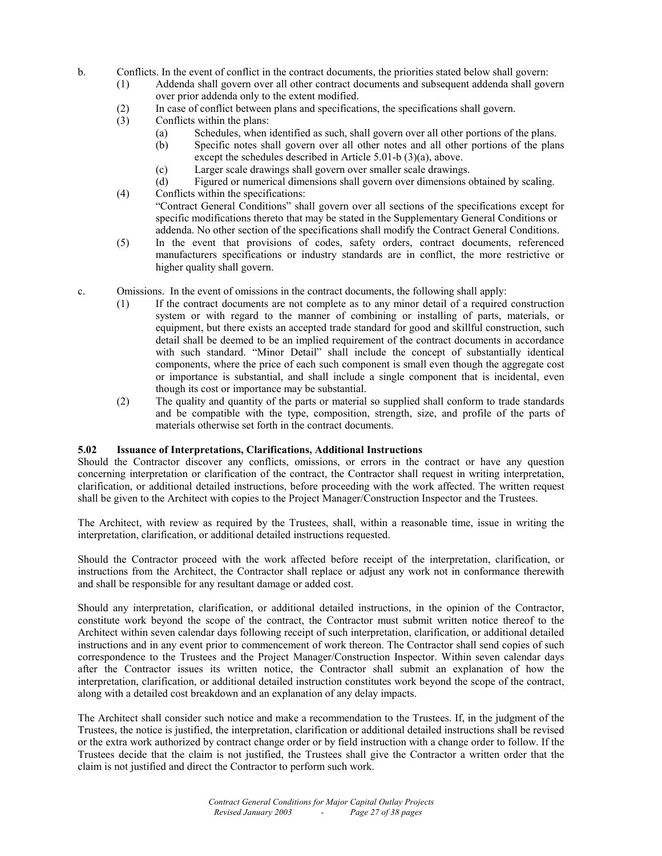b. Conflicts. In the event of conflict in the contract documents, the priorities stated below shall govern:

- (1) Addenda shall govern over all other contract documents and subsequent addenda shall govern over prior addenda only to the extent modified.
- (2) In case of conflict between plans and specifications, the specifications shall govern.
- (3) Conflicts within the plans:
	- (a) Schedules, when identified as such, shall govern over all other portions of the plans.
	- (b) Specific notes shall govern over all other notes and all other portions of the plans except the schedules described in Article 5.01-b (3)(a), above.
	- (c) Larger scale drawings shall govern over smaller scale drawings.
	- (d) Figured or numerical dimensions shall govern over dimensions obtained by scaling.
- (4) Conflicts within the specifications: "Contract General Conditions" shall govern over all sections of the specifications except for specific modifications thereto that may be stated in the Supplementary General Conditions or addenda. No other section of the specifications shall modify the Contract General Conditions.
- (5) In the event that provisions of codes, safety orders, contract documents, referenced manufacturers specifications or industry standards are in conflict, the more restrictive or higher quality shall govern.
- c. Omissions. In the event of omissions in the contract documents, the following shall apply:
	- (1) If the contract documents are not complete as to any minor detail of a required construction system or with regard to the manner of combining or installing of parts, materials, or equipment, but there exists an accepted trade standard for good and skillful construction, such detail shall be deemed to be an implied requirement of the contract documents in accordance with such standard. "Minor Detail" shall include the concept of substantially identical components, where the price of each such component is small even though the aggregate cost or importance is substantial, and shall include a single component that is incidental, even though its cost or importance may be substantial.
	- (2) The quality and quantity of the parts or material so supplied shall conform to trade standards and be compatible with the type, composition, strength, size, and profile of the parts of materials otherwise set forth in the contract documents.

#### **5.02 Issuance of Interpretations, Clarifications, Additional Instructions**

Should the Contractor discover any conflicts, omissions, or errors in the contract or have any question concerning interpretation or clarification of the contract, the Contractor shall request in writing interpretation, clarification, or additional detailed instructions, before proceeding with the work affected. The written request shall be given to the Architect with copies to the Project Manager/Construction Inspector and the Trustees.

The Architect, with review as required by the Trustees, shall, within a reasonable time, issue in writing the interpretation, clarification, or additional detailed instructions requested.

Should the Contractor proceed with the work affected before receipt of the interpretation, clarification, or instructions from the Architect, the Contractor shall replace or adjust any work not in conformance therewith and shall be responsible for any resultant damage or added cost.

Should any interpretation, clarification, or additional detailed instructions, in the opinion of the Contractor, constitute work beyond the scope of the contract, the Contractor must submit written notice thereof to the Architect within seven calendar days following receipt of such interpretation, clarification, or additional detailed instructions and in any event prior to commencement of work thereon. The Contractor shall send copies of such correspondence to the Trustees and the Project Manager/Construction Inspector. Within seven calendar days after the Contractor issues its written notice, the Contractor shall submit an explanation of how the interpretation, clarification, or additional detailed instruction constitutes work beyond the scope of the contract, along with a detailed cost breakdown and an explanation of any delay impacts.

The Architect shall consider such notice and make a recommendation to the Trustees. If, in the judgment of the Trustees, the notice is justified, the interpretation, clarification or additional detailed instructions shall be revised or the extra work authorized by contract change order or by field instruction with a change order to follow. If the Trustees decide that the claim is not justified, the Trustees shall give the Contractor a written order that the claim is not justified and direct the Contractor to perform such work.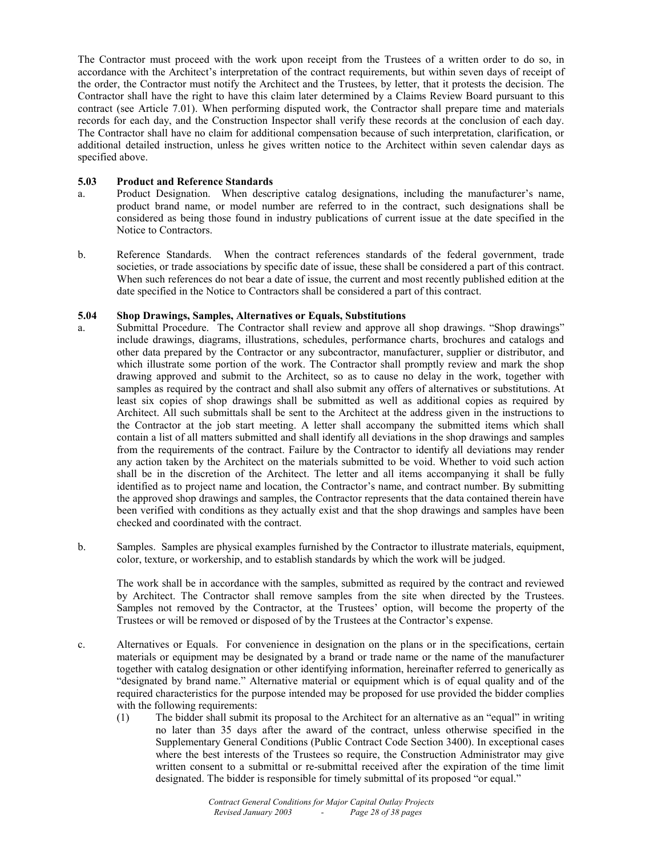The Contractor must proceed with the work upon receipt from the Trustees of a written order to do so, in accordance with the Architect's interpretation of the contract requirements, but within seven days of receipt of the order, the Contractor must notify the Architect and the Trustees, by letter, that it protests the decision. The Contractor shall have the right to have this claim later determined by a Claims Review Board pursuant to this contract (see Article 7.01). When performing disputed work, the Contractor shall prepare time and materials records for each day, and the Construction Inspector shall verify these records at the conclusion of each day. The Contractor shall have no claim for additional compensation because of such interpretation, clarification, or additional detailed instruction, unless he gives written notice to the Architect within seven calendar days as specified above.

#### **5.03 Product and Reference Standards**

- a. Product Designation. When descriptive catalog designations, including the manufacturer's name, product brand name, or model number are referred to in the contract, such designations shall be considered as being those found in industry publications of current issue at the date specified in the Notice to Contractors.
- b. Reference Standards. When the contract references standards of the federal government, trade societies, or trade associations by specific date of issue, these shall be considered a part of this contract. When such references do not bear a date of issue, the current and most recently published edition at the date specified in the Notice to Contractors shall be considered a part of this contract.

#### **5.04 Shop Drawings, Samples, Alternatives or Equals, Substitutions**

- a. Submittal Procedure. The Contractor shall review and approve all shop drawings. "Shop drawings" include drawings, diagrams, illustrations, schedules, performance charts, brochures and catalogs and other data prepared by the Contractor or any subcontractor, manufacturer, supplier or distributor, and which illustrate some portion of the work. The Contractor shall promptly review and mark the shop drawing approved and submit to the Architect, so as to cause no delay in the work, together with samples as required by the contract and shall also submit any offers of alternatives or substitutions. At least six copies of shop drawings shall be submitted as well as additional copies as required by Architect. All such submittals shall be sent to the Architect at the address given in the instructions to the Contractor at the job start meeting. A letter shall accompany the submitted items which shall contain a list of all matters submitted and shall identify all deviations in the shop drawings and samples from the requirements of the contract. Failure by the Contractor to identify all deviations may render any action taken by the Architect on the materials submitted to be void. Whether to void such action shall be in the discretion of the Architect. The letter and all items accompanying it shall be fully identified as to project name and location, the Contractor's name, and contract number. By submitting the approved shop drawings and samples, the Contractor represents that the data contained therein have been verified with conditions as they actually exist and that the shop drawings and samples have been checked and coordinated with the contract.
- b. Samples. Samples are physical examples furnished by the Contractor to illustrate materials, equipment, color, texture, or workership, and to establish standards by which the work will be judged.

 The work shall be in accordance with the samples, submitted as required by the contract and reviewed by Architect. The Contractor shall remove samples from the site when directed by the Trustees. Samples not removed by the Contractor, at the Trustees' option, will become the property of the Trustees or will be removed or disposed of by the Trustees at the Contractor's expense.

- c. Alternatives or Equals. For convenience in designation on the plans or in the specifications, certain materials or equipment may be designated by a brand or trade name or the name of the manufacturer together with catalog designation or other identifying information, hereinafter referred to generically as "designated by brand name." Alternative material or equipment which is of equal quality and of the required characteristics for the purpose intended may be proposed for use provided the bidder complies with the following requirements:
	- (1) The bidder shall submit its proposal to the Architect for an alternative as an "equal" in writing no later than 35 days after the award of the contract, unless otherwise specified in the Supplementary General Conditions (Public Contract Code Section 3400). In exceptional cases where the best interests of the Trustees so require, the Construction Administrator may give written consent to a submittal or re-submittal received after the expiration of the time limit designated. The bidder is responsible for timely submittal of its proposed "or equal."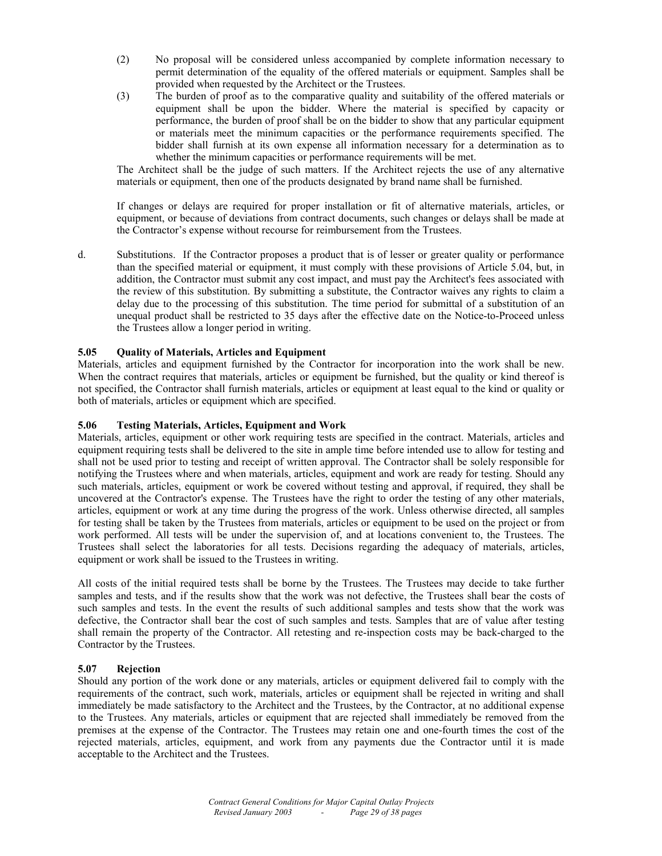- (2) No proposal will be considered unless accompanied by complete information necessary to permit determination of the equality of the offered materials or equipment. Samples shall be provided when requested by the Architect or the Trustees.
- (3) The burden of proof as to the comparative quality and suitability of the offered materials or equipment shall be upon the bidder. Where the material is specified by capacity or performance, the burden of proof shall be on the bidder to show that any particular equipment or materials meet the minimum capacities or the performance requirements specified. The bidder shall furnish at its own expense all information necessary for a determination as to whether the minimum capacities or performance requirements will be met.

 The Architect shall be the judge of such matters. If the Architect rejects the use of any alternative materials or equipment, then one of the products designated by brand name shall be furnished.

 If changes or delays are required for proper installation or fit of alternative materials, articles, or equipment, or because of deviations from contract documents, such changes or delays shall be made at the Contractor's expense without recourse for reimbursement from the Trustees.

d. Substitutions. If the Contractor proposes a product that is of lesser or greater quality or performance than the specified material or equipment, it must comply with these provisions of Article 5.04, but, in addition, the Contractor must submit any cost impact, and must pay the Architect's fees associated with the review of this substitution. By submitting a substitute, the Contractor waives any rights to claim a delay due to the processing of this substitution. The time period for submittal of a substitution of an unequal product shall be restricted to 35 days after the effective date on the Notice-to-Proceed unless the Trustees allow a longer period in writing.

#### **5.05 Quality of Materials, Articles and Equipment**

Materials, articles and equipment furnished by the Contractor for incorporation into the work shall be new. When the contract requires that materials, articles or equipment be furnished, but the quality or kind thereof is not specified, the Contractor shall furnish materials, articles or equipment at least equal to the kind or quality or both of materials, articles or equipment which are specified.

#### **5.06 Testing Materials, Articles, Equipment and Work**

Materials, articles, equipment or other work requiring tests are specified in the contract. Materials, articles and equipment requiring tests shall be delivered to the site in ample time before intended use to allow for testing and shall not be used prior to testing and receipt of written approval. The Contractor shall be solely responsible for notifying the Trustees where and when materials, articles, equipment and work are ready for testing. Should any such materials, articles, equipment or work be covered without testing and approval, if required, they shall be uncovered at the Contractor's expense. The Trustees have the right to order the testing of any other materials, articles, equipment or work at any time during the progress of the work. Unless otherwise directed, all samples for testing shall be taken by the Trustees from materials, articles or equipment to be used on the project or from work performed. All tests will be under the supervision of, and at locations convenient to, the Trustees. The Trustees shall select the laboratories for all tests. Decisions regarding the adequacy of materials, articles, equipment or work shall be issued to the Trustees in writing.

All costs of the initial required tests shall be borne by the Trustees. The Trustees may decide to take further samples and tests, and if the results show that the work was not defective, the Trustees shall bear the costs of such samples and tests. In the event the results of such additional samples and tests show that the work was defective, the Contractor shall bear the cost of such samples and tests. Samples that are of value after testing shall remain the property of the Contractor. All retesting and re-inspection costs may be back-charged to the Contractor by the Trustees.

#### **5.07 Rejection**

Should any portion of the work done or any materials, articles or equipment delivered fail to comply with the requirements of the contract, such work, materials, articles or equipment shall be rejected in writing and shall immediately be made satisfactory to the Architect and the Trustees, by the Contractor, at no additional expense to the Trustees. Any materials, articles or equipment that are rejected shall immediately be removed from the premises at the expense of the Contractor. The Trustees may retain one and one-fourth times the cost of the rejected materials, articles, equipment, and work from any payments due the Contractor until it is made acceptable to the Architect and the Trustees.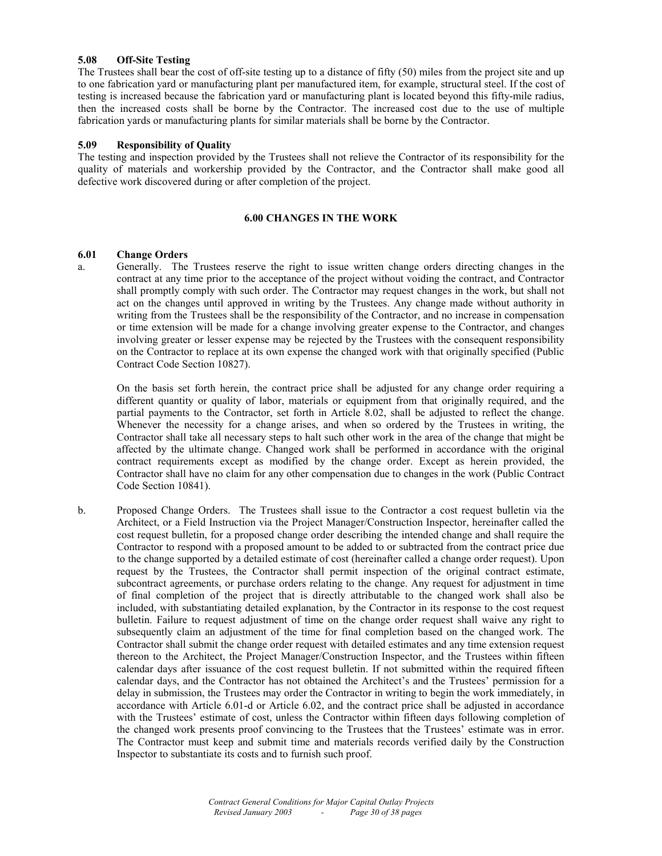# **5.08 Off-Site Testing**

The Trustees shall bear the cost of off-site testing up to a distance of fifty (50) miles from the project site and up to one fabrication yard or manufacturing plant per manufactured item, for example, structural steel. If the cost of testing is increased because the fabrication yard or manufacturing plant is located beyond this fifty-mile radius, then the increased costs shall be borne by the Contractor. The increased cost due to the use of multiple fabrication yards or manufacturing plants for similar materials shall be borne by the Contractor.

#### **5.09 Responsibility of Quality**

The testing and inspection provided by the Trustees shall not relieve the Contractor of its responsibility for the quality of materials and workership provided by the Contractor, and the Contractor shall make good all defective work discovered during or after completion of the project.

# **6.00 CHANGES IN THE WORK**

#### **6.01 Change Orders**

a. Generally. The Trustees reserve the right to issue written change orders directing changes in the contract at any time prior to the acceptance of the project without voiding the contract, and Contractor shall promptly comply with such order. The Contractor may request changes in the work, but shall not act on the changes until approved in writing by the Trustees. Any change made without authority in writing from the Trustees shall be the responsibility of the Contractor, and no increase in compensation or time extension will be made for a change involving greater expense to the Contractor, and changes involving greater or lesser expense may be rejected by the Trustees with the consequent responsibility on the Contractor to replace at its own expense the changed work with that originally specified (Public Contract Code Section 10827).

 On the basis set forth herein, the contract price shall be adjusted for any change order requiring a different quantity or quality of labor, materials or equipment from that originally required, and the partial payments to the Contractor, set forth in Article 8.02, shall be adjusted to reflect the change. Whenever the necessity for a change arises, and when so ordered by the Trustees in writing, the Contractor shall take all necessary steps to halt such other work in the area of the change that might be affected by the ultimate change. Changed work shall be performed in accordance with the original contract requirements except as modified by the change order. Except as herein provided, the Contractor shall have no claim for any other compensation due to changes in the work (Public Contract Code Section 10841).

b. Proposed Change Orders. The Trustees shall issue to the Contractor a cost request bulletin via the Architect, or a Field Instruction via the Project Manager/Construction Inspector, hereinafter called the cost request bulletin, for a proposed change order describing the intended change and shall require the Contractor to respond with a proposed amount to be added to or subtracted from the contract price due to the change supported by a detailed estimate of cost (hereinafter called a change order request). Upon request by the Trustees, the Contractor shall permit inspection of the original contract estimate, subcontract agreements, or purchase orders relating to the change. Any request for adjustment in time of final completion of the project that is directly attributable to the changed work shall also be included, with substantiating detailed explanation, by the Contractor in its response to the cost request bulletin. Failure to request adjustment of time on the change order request shall waive any right to subsequently claim an adjustment of the time for final completion based on the changed work. The Contractor shall submit the change order request with detailed estimates and any time extension request thereon to the Architect, the Project Manager/Construction Inspector, and the Trustees within fifteen calendar days after issuance of the cost request bulletin. If not submitted within the required fifteen calendar days, and the Contractor has not obtained the Architect's and the Trustees' permission for a delay in submission, the Trustees may order the Contractor in writing to begin the work immediately, in accordance with Article 6.01-d or Article 6.02, and the contract price shall be adjusted in accordance with the Trustees' estimate of cost, unless the Contractor within fifteen days following completion of the changed work presents proof convincing to the Trustees that the Trustees' estimate was in error. The Contractor must keep and submit time and materials records verified daily by the Construction Inspector to substantiate its costs and to furnish such proof.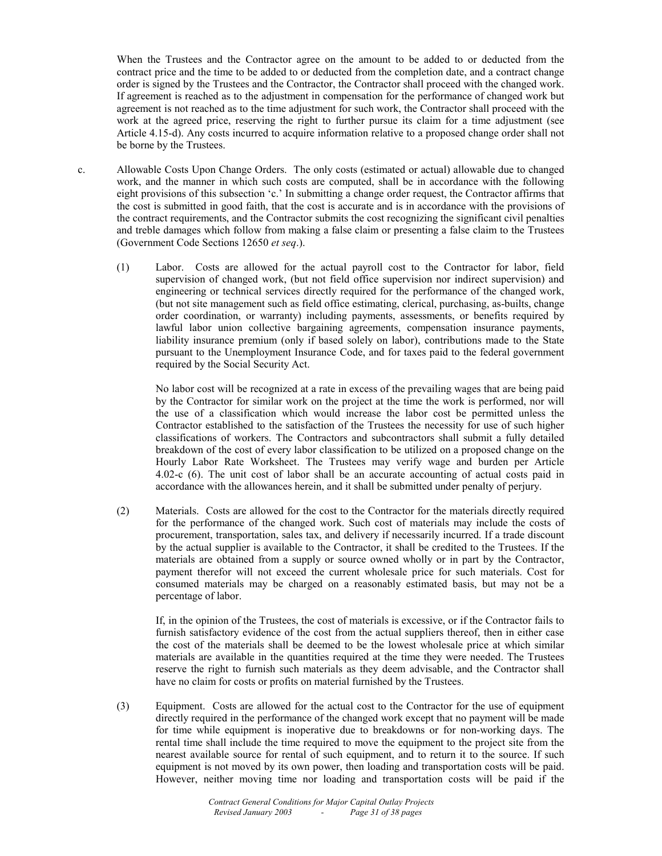When the Trustees and the Contractor agree on the amount to be added to or deducted from the contract price and the time to be added to or deducted from the completion date, and a contract change order is signed by the Trustees and the Contractor, the Contractor shall proceed with the changed work. If agreement is reached as to the adjustment in compensation for the performance of changed work but agreement is not reached as to the time adjustment for such work, the Contractor shall proceed with the work at the agreed price, reserving the right to further pursue its claim for a time adjustment (see Article 4.15-d). Any costs incurred to acquire information relative to a proposed change order shall not be borne by the Trustees.

- c. Allowable Costs Upon Change Orders. The only costs (estimated or actual) allowable due to changed work, and the manner in which such costs are computed, shall be in accordance with the following eight provisions of this subsection 'c.' In submitting a change order request, the Contractor affirms that the cost is submitted in good faith, that the cost is accurate and is in accordance with the provisions of the contract requirements, and the Contractor submits the cost recognizing the significant civil penalties and treble damages which follow from making a false claim or presenting a false claim to the Trustees (Government Code Sections 12650 *et seq*.).
	- (1) Labor. Costs are allowed for the actual payroll cost to the Contractor for labor, field supervision of changed work, (but not field office supervision nor indirect supervision) and engineering or technical services directly required for the performance of the changed work, (but not site management such as field office estimating, clerical, purchasing, as-builts, change order coordination, or warranty) including payments, assessments, or benefits required by lawful labor union collective bargaining agreements, compensation insurance payments, liability insurance premium (only if based solely on labor), contributions made to the State pursuant to the Unemployment Insurance Code, and for taxes paid to the federal government required by the Social Security Act.

 No labor cost will be recognized at a rate in excess of the prevailing wages that are being paid by the Contractor for similar work on the project at the time the work is performed, nor will the use of a classification which would increase the labor cost be permitted unless the Contractor established to the satisfaction of the Trustees the necessity for use of such higher classifications of workers. The Contractors and subcontractors shall submit a fully detailed breakdown of the cost of every labor classification to be utilized on a proposed change on the Hourly Labor Rate Worksheet. The Trustees may verify wage and burden per Article 4.02-c (6). The unit cost of labor shall be an accurate accounting of actual costs paid in accordance with the allowances herein, and it shall be submitted under penalty of perjury.

(2) Materials. Costs are allowed for the cost to the Contractor for the materials directly required for the performance of the changed work. Such cost of materials may include the costs of procurement, transportation, sales tax, and delivery if necessarily incurred. If a trade discount by the actual supplier is available to the Contractor, it shall be credited to the Trustees. If the materials are obtained from a supply or source owned wholly or in part by the Contractor, payment therefor will not exceed the current wholesale price for such materials. Cost for consumed materials may be charged on a reasonably estimated basis, but may not be a percentage of labor.

 If, in the opinion of the Trustees, the cost of materials is excessive, or if the Contractor fails to furnish satisfactory evidence of the cost from the actual suppliers thereof, then in either case the cost of the materials shall be deemed to be the lowest wholesale price at which similar materials are available in the quantities required at the time they were needed. The Trustees reserve the right to furnish such materials as they deem advisable, and the Contractor shall have no claim for costs or profits on material furnished by the Trustees.

(3) Equipment. Costs are allowed for the actual cost to the Contractor for the use of equipment directly required in the performance of the changed work except that no payment will be made for time while equipment is inoperative due to breakdowns or for non-working days. The rental time shall include the time required to move the equipment to the project site from the nearest available source for rental of such equipment, and to return it to the source. If such equipment is not moved by its own power, then loading and transportation costs will be paid. However, neither moving time nor loading and transportation costs will be paid if the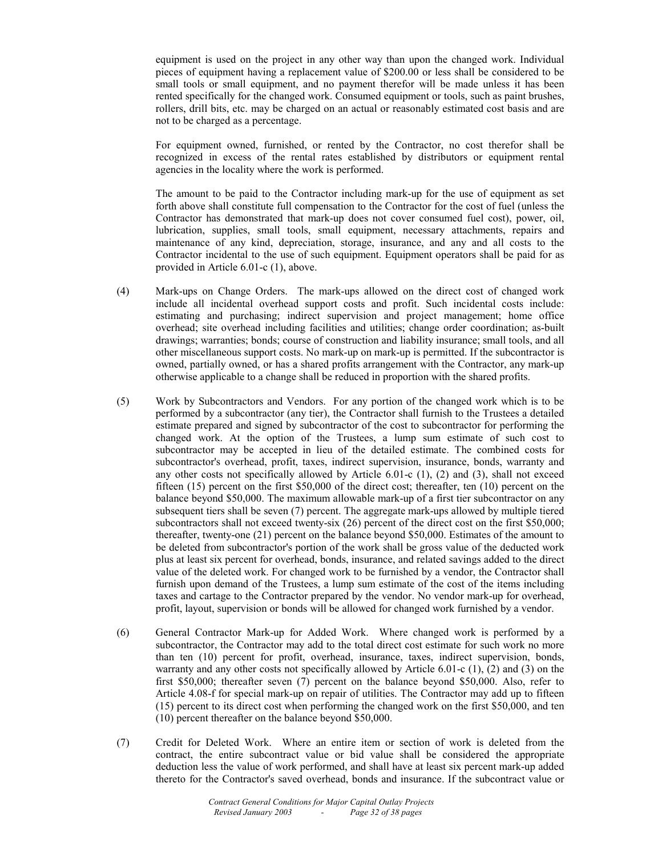equipment is used on the project in any other way than upon the changed work. Individual pieces of equipment having a replacement value of \$200.00 or less shall be considered to be small tools or small equipment, and no payment therefor will be made unless it has been rented specifically for the changed work. Consumed equipment or tools, such as paint brushes, rollers, drill bits, etc. may be charged on an actual or reasonably estimated cost basis and are not to be charged as a percentage.

 For equipment owned, furnished, or rented by the Contractor, no cost therefor shall be recognized in excess of the rental rates established by distributors or equipment rental agencies in the locality where the work is performed.

 The amount to be paid to the Contractor including mark-up for the use of equipment as set forth above shall constitute full compensation to the Contractor for the cost of fuel (unless the Contractor has demonstrated that mark-up does not cover consumed fuel cost), power, oil, lubrication, supplies, small tools, small equipment, necessary attachments, repairs and maintenance of any kind, depreciation, storage, insurance, and any and all costs to the Contractor incidental to the use of such equipment. Equipment operators shall be paid for as provided in Article 6.01-c (1), above.

- (4) Mark-ups on Change Orders. The mark-ups allowed on the direct cost of changed work include all incidental overhead support costs and profit. Such incidental costs include: estimating and purchasing; indirect supervision and project management; home office overhead; site overhead including facilities and utilities; change order coordination; as-built drawings; warranties; bonds; course of construction and liability insurance; small tools, and all other miscellaneous support costs. No mark-up on mark-up is permitted. If the subcontractor is owned, partially owned, or has a shared profits arrangement with the Contractor, any mark-up otherwise applicable to a change shall be reduced in proportion with the shared profits.
- (5) Work by Subcontractors and Vendors. For any portion of the changed work which is to be performed by a subcontractor (any tier), the Contractor shall furnish to the Trustees a detailed estimate prepared and signed by subcontractor of the cost to subcontractor for performing the changed work. At the option of the Trustees, a lump sum estimate of such cost to subcontractor may be accepted in lieu of the detailed estimate. The combined costs for subcontractor's overhead, profit, taxes, indirect supervision, insurance, bonds, warranty and any other costs not specifically allowed by Article  $6.01-c(1)$ ,  $(2)$  and  $(3)$ , shall not exceed fifteen (15) percent on the first \$50,000 of the direct cost; thereafter, ten (10) percent on the balance beyond \$50,000. The maximum allowable mark-up of a first tier subcontractor on any subsequent tiers shall be seven (7) percent. The aggregate mark-ups allowed by multiple tiered subcontractors shall not exceed twenty-six (26) percent of the direct cost on the first \$50,000; thereafter, twenty-one (21) percent on the balance beyond \$50,000. Estimates of the amount to be deleted from subcontractor's portion of the work shall be gross value of the deducted work plus at least six percent for overhead, bonds, insurance, and related savings added to the direct value of the deleted work. For changed work to be furnished by a vendor, the Contractor shall furnish upon demand of the Trustees, a lump sum estimate of the cost of the items including taxes and cartage to the Contractor prepared by the vendor. No vendor mark-up for overhead, profit, layout, supervision or bonds will be allowed for changed work furnished by a vendor.
- (6) General Contractor Mark-up for Added Work. Where changed work is performed by a subcontractor, the Contractor may add to the total direct cost estimate for such work no more than ten (10) percent for profit, overhead, insurance, taxes, indirect supervision, bonds, warranty and any other costs not specifically allowed by Article 6.01-c (1), (2) and (3) on the first \$50,000; thereafter seven (7) percent on the balance beyond \$50,000. Also, refer to Article 4.08-f for special mark-up on repair of utilities. The Contractor may add up to fifteen (15) percent to its direct cost when performing the changed work on the first \$50,000, and ten (10) percent thereafter on the balance beyond \$50,000.
- (7) Credit for Deleted Work. Where an entire item or section of work is deleted from the contract, the entire subcontract value or bid value shall be considered the appropriate deduction less the value of work performed, and shall have at least six percent mark-up added thereto for the Contractor's saved overhead, bonds and insurance. If the subcontract value or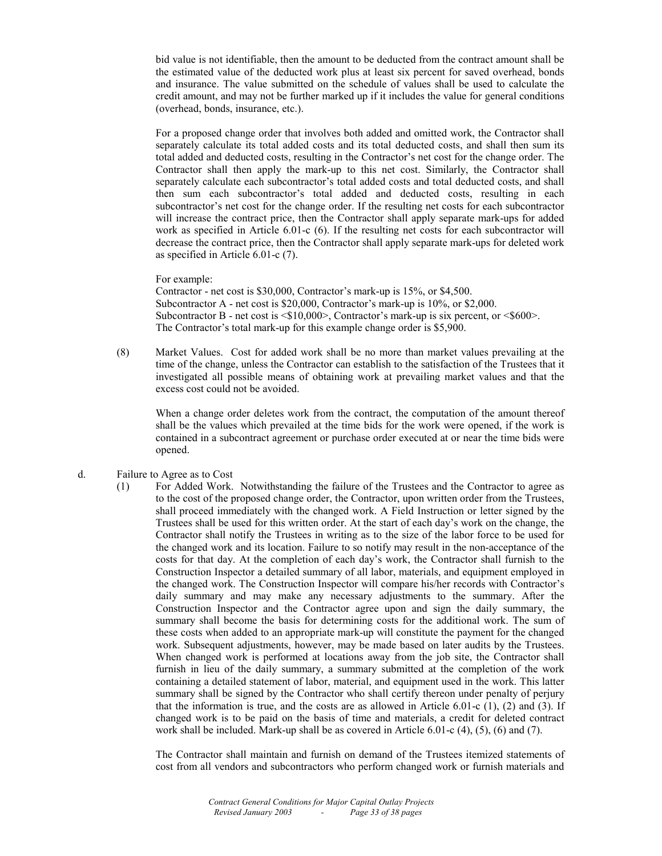bid value is not identifiable, then the amount to be deducted from the contract amount shall be the estimated value of the deducted work plus at least six percent for saved overhead, bonds and insurance. The value submitted on the schedule of values shall be used to calculate the credit amount, and may not be further marked up if it includes the value for general conditions (overhead, bonds, insurance, etc.).

 For a proposed change order that involves both added and omitted work, the Contractor shall separately calculate its total added costs and its total deducted costs, and shall then sum its total added and deducted costs, resulting in the Contractor's net cost for the change order. The Contractor shall then apply the mark-up to this net cost. Similarly, the Contractor shall separately calculate each subcontractor's total added costs and total deducted costs, and shall then sum each subcontractor's total added and deducted costs, resulting in each subcontractor's net cost for the change order. If the resulting net costs for each subcontractor will increase the contract price, then the Contractor shall apply separate mark-ups for added work as specified in Article 6.01-c (6). If the resulting net costs for each subcontractor will decrease the contract price, then the Contractor shall apply separate mark-ups for deleted work as specified in Article 6.01-c (7).

For example:

Contractor - net cost is \$30,000, Contractor's mark-up is 15%, or \$4,500. Subcontractor A - net cost is \$20,000, Contractor's mark-up is 10%, or \$2,000. Subcontractor B - net cost is  $\leq$ \$10,000>, Contractor's mark-up is six percent, or  $\leq$ \$600>. The Contractor's total mark-up for this example change order is \$5,900.

(8) Market Values. Cost for added work shall be no more than market values prevailing at the time of the change, unless the Contractor can establish to the satisfaction of the Trustees that it investigated all possible means of obtaining work at prevailing market values and that the excess cost could not be avoided.

 When a change order deletes work from the contract, the computation of the amount thereof shall be the values which prevailed at the time bids for the work were opened, if the work is contained in a subcontract agreement or purchase order executed at or near the time bids were opened.

#### d. Failure to Agree as to Cost

(1) For Added Work. Notwithstanding the failure of the Trustees and the Contractor to agree as to the cost of the proposed change order, the Contractor, upon written order from the Trustees, shall proceed immediately with the changed work. A Field Instruction or letter signed by the Trustees shall be used for this written order. At the start of each day's work on the change, the Contractor shall notify the Trustees in writing as to the size of the labor force to be used for the changed work and its location. Failure to so notify may result in the non-acceptance of the costs for that day. At the completion of each day's work, the Contractor shall furnish to the Construction Inspector a detailed summary of all labor, materials, and equipment employed in the changed work. The Construction Inspector will compare his/her records with Contractor's daily summary and may make any necessary adjustments to the summary. After the Construction Inspector and the Contractor agree upon and sign the daily summary, the summary shall become the basis for determining costs for the additional work. The sum of these costs when added to an appropriate mark-up will constitute the payment for the changed work. Subsequent adjustments, however, may be made based on later audits by the Trustees. When changed work is performed at locations away from the job site, the Contractor shall furnish in lieu of the daily summary, a summary submitted at the completion of the work containing a detailed statement of labor, material, and equipment used in the work. This latter summary shall be signed by the Contractor who shall certify thereon under penalty of perjury that the information is true, and the costs are as allowed in Article 6.01-c  $(1)$ ,  $(2)$  and  $(3)$ . If changed work is to be paid on the basis of time and materials, a credit for deleted contract work shall be included. Mark-up shall be as covered in Article 6.01-c (4), (5), (6) and (7).

 The Contractor shall maintain and furnish on demand of the Trustees itemized statements of cost from all vendors and subcontractors who perform changed work or furnish materials and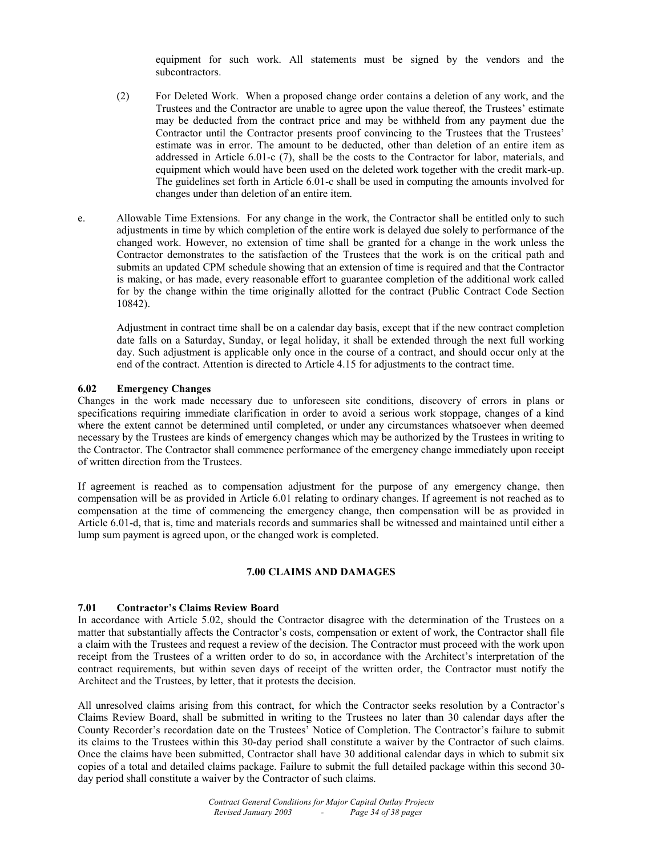equipment for such work. All statements must be signed by the vendors and the subcontractors.

- (2) For Deleted Work. When a proposed change order contains a deletion of any work, and the Trustees and the Contractor are unable to agree upon the value thereof, the Trustees' estimate may be deducted from the contract price and may be withheld from any payment due the Contractor until the Contractor presents proof convincing to the Trustees that the Trustees' estimate was in error. The amount to be deducted, other than deletion of an entire item as addressed in Article 6.01-c (7), shall be the costs to the Contractor for labor, materials, and equipment which would have been used on the deleted work together with the credit mark-up. The guidelines set forth in Article 6.01-c shall be used in computing the amounts involved for changes under than deletion of an entire item.
- e. Allowable Time Extensions. For any change in the work, the Contractor shall be entitled only to such adjustments in time by which completion of the entire work is delayed due solely to performance of the changed work. However, no extension of time shall be granted for a change in the work unless the Contractor demonstrates to the satisfaction of the Trustees that the work is on the critical path and submits an updated CPM schedule showing that an extension of time is required and that the Contractor is making, or has made, every reasonable effort to guarantee completion of the additional work called for by the change within the time originally allotted for the contract (Public Contract Code Section 10842).

 Adjustment in contract time shall be on a calendar day basis, except that if the new contract completion date falls on a Saturday, Sunday, or legal holiday, it shall be extended through the next full working day. Such adjustment is applicable only once in the course of a contract, and should occur only at the end of the contract. Attention is directed to Article 4.15 for adjustments to the contract time.

#### **6.02 Emergency Changes**

Changes in the work made necessary due to unforeseen site conditions, discovery of errors in plans or specifications requiring immediate clarification in order to avoid a serious work stoppage, changes of a kind where the extent cannot be determined until completed, or under any circumstances whatsoever when deemed necessary by the Trustees are kinds of emergency changes which may be authorized by the Trustees in writing to the Contractor. The Contractor shall commence performance of the emergency change immediately upon receipt of written direction from the Trustees.

If agreement is reached as to compensation adjustment for the purpose of any emergency change, then compensation will be as provided in Article 6.01 relating to ordinary changes. If agreement is not reached as to compensation at the time of commencing the emergency change, then compensation will be as provided in Article 6.01-d, that is, time and materials records and summaries shall be witnessed and maintained until either a lump sum payment is agreed upon, or the changed work is completed.

# **7.00 CLAIMS AND DAMAGES**

#### **7.01 Contractor's Claims Review Board**

In accordance with Article 5.02, should the Contractor disagree with the determination of the Trustees on a matter that substantially affects the Contractor's costs, compensation or extent of work, the Contractor shall file a claim with the Trustees and request a review of the decision. The Contractor must proceed with the work upon receipt from the Trustees of a written order to do so, in accordance with the Architect's interpretation of the contract requirements, but within seven days of receipt of the written order, the Contractor must notify the Architect and the Trustees, by letter, that it protests the decision.

All unresolved claims arising from this contract, for which the Contractor seeks resolution by a Contractor's Claims Review Board, shall be submitted in writing to the Trustees no later than 30 calendar days after the County Recorder's recordation date on the Trustees' Notice of Completion. The Contractor's failure to submit its claims to the Trustees within this 30-day period shall constitute a waiver by the Contractor of such claims. Once the claims have been submitted, Contractor shall have 30 additional calendar days in which to submit six copies of a total and detailed claims package. Failure to submit the full detailed package within this second 30 day period shall constitute a waiver by the Contractor of such claims.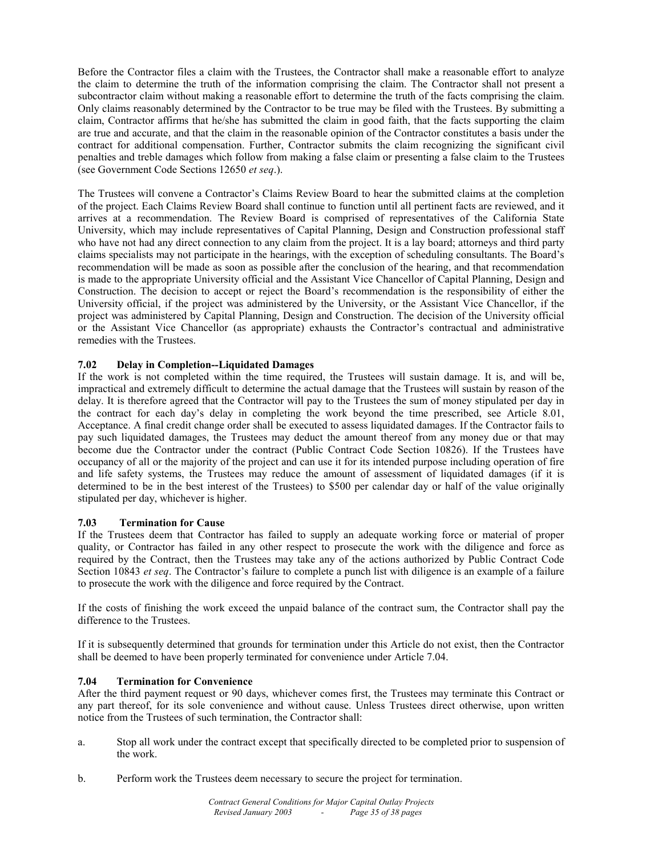Before the Contractor files a claim with the Trustees, the Contractor shall make a reasonable effort to analyze the claim to determine the truth of the information comprising the claim. The Contractor shall not present a subcontractor claim without making a reasonable effort to determine the truth of the facts comprising the claim. Only claims reasonably determined by the Contractor to be true may be filed with the Trustees. By submitting a claim, Contractor affirms that he/she has submitted the claim in good faith, that the facts supporting the claim are true and accurate, and that the claim in the reasonable opinion of the Contractor constitutes a basis under the contract for additional compensation. Further, Contractor submits the claim recognizing the significant civil penalties and treble damages which follow from making a false claim or presenting a false claim to the Trustees (see Government Code Sections 12650 *et seq*.).

The Trustees will convene a Contractor's Claims Review Board to hear the submitted claims at the completion of the project. Each Claims Review Board shall continue to function until all pertinent facts are reviewed, and it arrives at a recommendation. The Review Board is comprised of representatives of the California State University, which may include representatives of Capital Planning, Design and Construction professional staff who have not had any direct connection to any claim from the project. It is a lay board; attorneys and third party claims specialists may not participate in the hearings, with the exception of scheduling consultants. The Board's recommendation will be made as soon as possible after the conclusion of the hearing, and that recommendation is made to the appropriate University official and the Assistant Vice Chancellor of Capital Planning, Design and Construction. The decision to accept or reject the Board's recommendation is the responsibility of either the University official, if the project was administered by the University, or the Assistant Vice Chancellor, if the project was administered by Capital Planning, Design and Construction. The decision of the University official or the Assistant Vice Chancellor (as appropriate) exhausts the Contractor's contractual and administrative remedies with the Trustees.

# **7.02 Delay in Completion--Liquidated Damages**

If the work is not completed within the time required, the Trustees will sustain damage. It is, and will be, impractical and extremely difficult to determine the actual damage that the Trustees will sustain by reason of the delay. It is therefore agreed that the Contractor will pay to the Trustees the sum of money stipulated per day in the contract for each day's delay in completing the work beyond the time prescribed, see Article 8.01, Acceptance. A final credit change order shall be executed to assess liquidated damages. If the Contractor fails to pay such liquidated damages, the Trustees may deduct the amount thereof from any money due or that may become due the Contractor under the contract (Public Contract Code Section 10826). If the Trustees have occupancy of all or the majority of the project and can use it for its intended purpose including operation of fire and life safety systems, the Trustees may reduce the amount of assessment of liquidated damages (if it is determined to be in the best interest of the Trustees) to \$500 per calendar day or half of the value originally stipulated per day, whichever is higher.

#### **7.03 Termination for Cause**

If the Trustees deem that Contractor has failed to supply an adequate working force or material of proper quality, or Contractor has failed in any other respect to prosecute the work with the diligence and force as required by the Contract, then the Trustees may take any of the actions authorized by Public Contract Code Section 10843 *et seq*. The Contractor's failure to complete a punch list with diligence is an example of a failure to prosecute the work with the diligence and force required by the Contract.

If the costs of finishing the work exceed the unpaid balance of the contract sum, the Contractor shall pay the difference to the Trustees.

If it is subsequently determined that grounds for termination under this Article do not exist, then the Contractor shall be deemed to have been properly terminated for convenience under Article 7.04.

#### **7.04 Termination for Convenience**

After the third payment request or 90 days, whichever comes first, the Trustees may terminate this Contract or any part thereof, for its sole convenience and without cause. Unless Trustees direct otherwise, upon written notice from the Trustees of such termination, the Contractor shall:

- a. Stop all work under the contract except that specifically directed to be completed prior to suspension of the work.
- b. Perform work the Trustees deem necessary to secure the project for termination.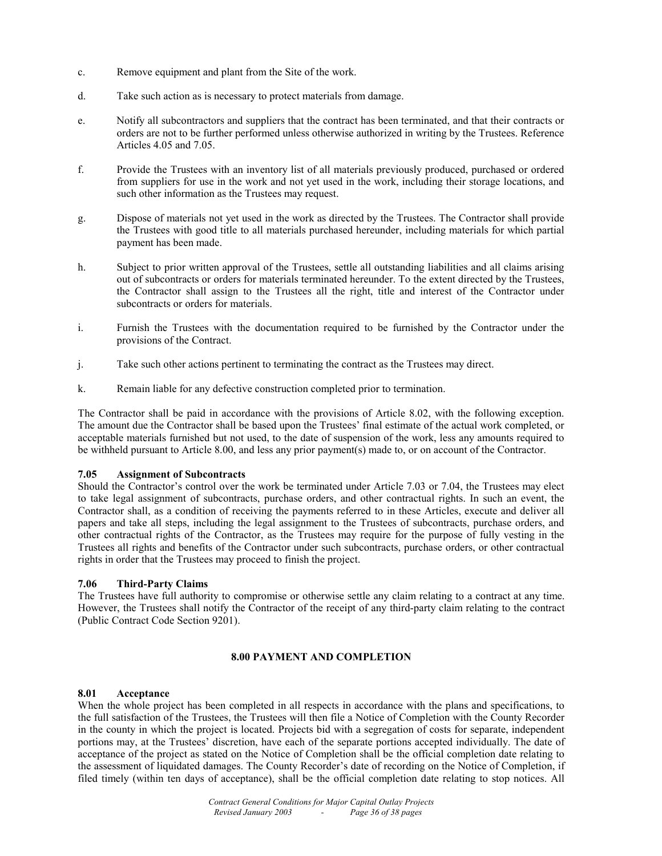- c. Remove equipment and plant from the Site of the work.
- d. Take such action as is necessary to protect materials from damage.
- e. Notify all subcontractors and suppliers that the contract has been terminated, and that their contracts or orders are not to be further performed unless otherwise authorized in writing by the Trustees. Reference Articles 4.05 and 7.05.
- f. Provide the Trustees with an inventory list of all materials previously produced, purchased or ordered from suppliers for use in the work and not yet used in the work, including their storage locations, and such other information as the Trustees may request.
- g. Dispose of materials not yet used in the work as directed by the Trustees. The Contractor shall provide the Trustees with good title to all materials purchased hereunder, including materials for which partial payment has been made.
- h. Subject to prior written approval of the Trustees, settle all outstanding liabilities and all claims arising out of subcontracts or orders for materials terminated hereunder. To the extent directed by the Trustees, the Contractor shall assign to the Trustees all the right, title and interest of the Contractor under subcontracts or orders for materials.
- i. Furnish the Trustees with the documentation required to be furnished by the Contractor under the provisions of the Contract.
- j. Take such other actions pertinent to terminating the contract as the Trustees may direct.
- k. Remain liable for any defective construction completed prior to termination.

The Contractor shall be paid in accordance with the provisions of Article 8.02, with the following exception. The amount due the Contractor shall be based upon the Trustees' final estimate of the actual work completed, or acceptable materials furnished but not used, to the date of suspension of the work, less any amounts required to be withheld pursuant to Article 8.00, and less any prior payment(s) made to, or on account of the Contractor.

#### **7.05 Assignment of Subcontracts**

Should the Contractor's control over the work be terminated under Article 7.03 or 7.04, the Trustees may elect to take legal assignment of subcontracts, purchase orders, and other contractual rights. In such an event, the Contractor shall, as a condition of receiving the payments referred to in these Articles, execute and deliver all papers and take all steps, including the legal assignment to the Trustees of subcontracts, purchase orders, and other contractual rights of the Contractor, as the Trustees may require for the purpose of fully vesting in the Trustees all rights and benefits of the Contractor under such subcontracts, purchase orders, or other contractual rights in order that the Trustees may proceed to finish the project.

#### **7.06 Third-Party Claims**

The Trustees have full authority to compromise or otherwise settle any claim relating to a contract at any time. However, the Trustees shall notify the Contractor of the receipt of any third-party claim relating to the contract (Public Contract Code Section 9201).

#### **8.00 PAYMENT AND COMPLETION**

#### **8.01 Acceptance**

When the whole project has been completed in all respects in accordance with the plans and specifications, to the full satisfaction of the Trustees, the Trustees will then file a Notice of Completion with the County Recorder in the county in which the project is located. Projects bid with a segregation of costs for separate, independent portions may, at the Trustees' discretion, have each of the separate portions accepted individually. The date of acceptance of the project as stated on the Notice of Completion shall be the official completion date relating to the assessment of liquidated damages. The County Recorder's date of recording on the Notice of Completion, if filed timely (within ten days of acceptance), shall be the official completion date relating to stop notices. All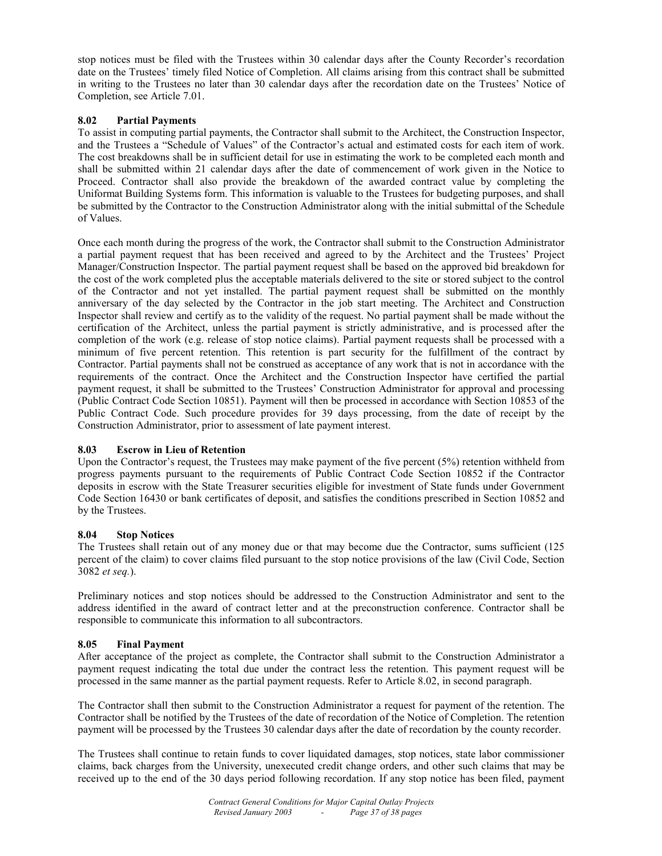stop notices must be filed with the Trustees within 30 calendar days after the County Recorder's recordation date on the Trustees' timely filed Notice of Completion. All claims arising from this contract shall be submitted in writing to the Trustees no later than 30 calendar days after the recordation date on the Trustees' Notice of Completion, see Article 7.01.

# **8.02 Partial Payments**

To assist in computing partial payments, the Contractor shall submit to the Architect, the Construction Inspector, and the Trustees a "Schedule of Values" of the Contractor's actual and estimated costs for each item of work. The cost breakdowns shall be in sufficient detail for use in estimating the work to be completed each month and shall be submitted within 21 calendar days after the date of commencement of work given in the Notice to Proceed. Contractor shall also provide the breakdown of the awarded contract value by completing the Uniformat Building Systems form. This information is valuable to the Trustees for budgeting purposes, and shall be submitted by the Contractor to the Construction Administrator along with the initial submittal of the Schedule of Values.

Once each month during the progress of the work, the Contractor shall submit to the Construction Administrator a partial payment request that has been received and agreed to by the Architect and the Trustees' Project Manager/Construction Inspector. The partial payment request shall be based on the approved bid breakdown for the cost of the work completed plus the acceptable materials delivered to the site or stored subject to the control of the Contractor and not yet installed. The partial payment request shall be submitted on the monthly anniversary of the day selected by the Contractor in the job start meeting. The Architect and Construction Inspector shall review and certify as to the validity of the request. No partial payment shall be made without the certification of the Architect, unless the partial payment is strictly administrative, and is processed after the completion of the work (e.g. release of stop notice claims). Partial payment requests shall be processed with a minimum of five percent retention. This retention is part security for the fulfillment of the contract by Contractor. Partial payments shall not be construed as acceptance of any work that is not in accordance with the requirements of the contract. Once the Architect and the Construction Inspector have certified the partial payment request, it shall be submitted to the Trustees' Construction Administrator for approval and processing (Public Contract Code Section 10851). Payment will then be processed in accordance with Section 10853 of the Public Contract Code. Such procedure provides for 39 days processing, from the date of receipt by the Construction Administrator, prior to assessment of late payment interest.

#### **8.03 Escrow in Lieu of Retention**

Upon the Contractor's request, the Trustees may make payment of the five percent (5%) retention withheld from progress payments pursuant to the requirements of Public Contract Code Section 10852 if the Contractor deposits in escrow with the State Treasurer securities eligible for investment of State funds under Government Code Section 16430 or bank certificates of deposit, and satisfies the conditions prescribed in Section 10852 and by the Trustees.

# **8.04 Stop Notices**

The Trustees shall retain out of any money due or that may become due the Contractor, sums sufficient (125 percent of the claim) to cover claims filed pursuant to the stop notice provisions of the law (Civil Code, Section 3082 *et seq.*).

Preliminary notices and stop notices should be addressed to the Construction Administrator and sent to the address identified in the award of contract letter and at the preconstruction conference. Contractor shall be responsible to communicate this information to all subcontractors.

#### **8.05 Final Payment**

After acceptance of the project as complete, the Contractor shall submit to the Construction Administrator a payment request indicating the total due under the contract less the retention. This payment request will be processed in the same manner as the partial payment requests. Refer to Article 8.02, in second paragraph.

The Contractor shall then submit to the Construction Administrator a request for payment of the retention. The Contractor shall be notified by the Trustees of the date of recordation of the Notice of Completion. The retention payment will be processed by the Trustees 30 calendar days after the date of recordation by the county recorder.

The Trustees shall continue to retain funds to cover liquidated damages, stop notices, state labor commissioner claims, back charges from the University, unexecuted credit change orders, and other such claims that may be received up to the end of the 30 days period following recordation. If any stop notice has been filed, payment